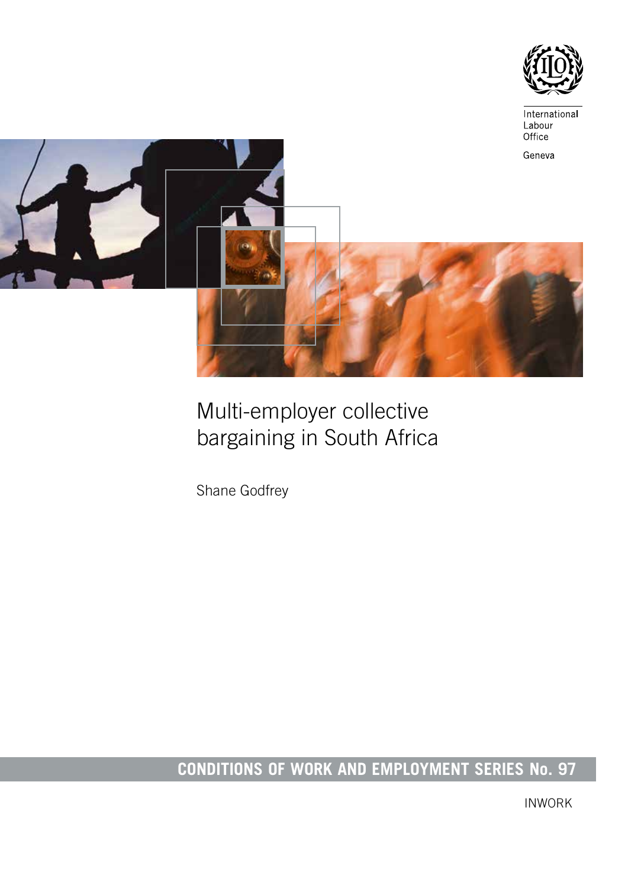



# Multi-employer collective bargaining in South Africa

Shane Godfrey

# **CONDITIONS OF WORK AND EMPLOYMENT SERIES No. 97**

INWORK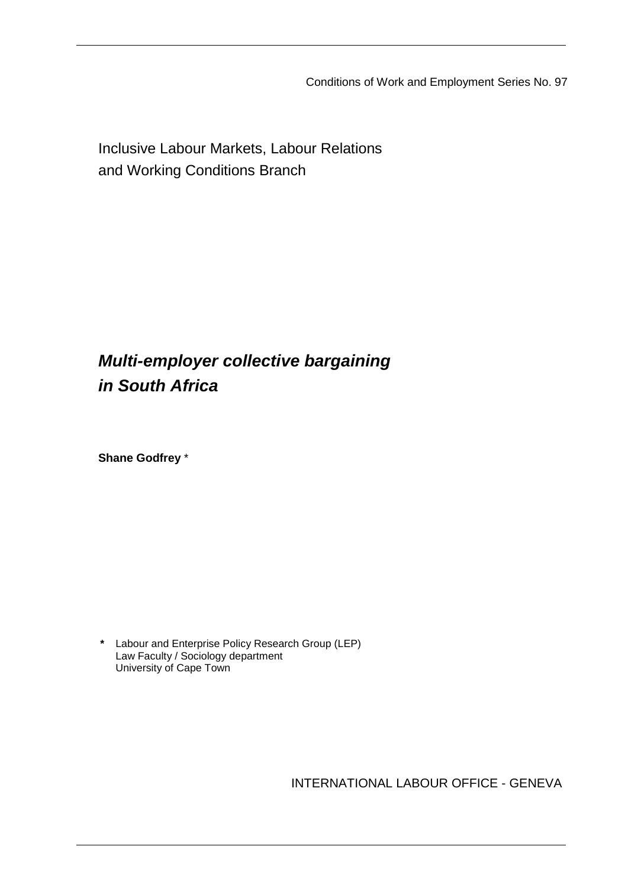Conditions of Work and Employment Series No. 97

Inclusive Labour Markets, Labour Relations and Working Conditions Branch

# *Multi-employer collective bargaining in South Africa*

**Shane Godfrey** \*

**\*** Labour and Enterprise Policy Research Group (LEP) Law Faculty / Sociology department University of Cape Town

INTERNATIONAL LABOUR OFFICE - GENEVA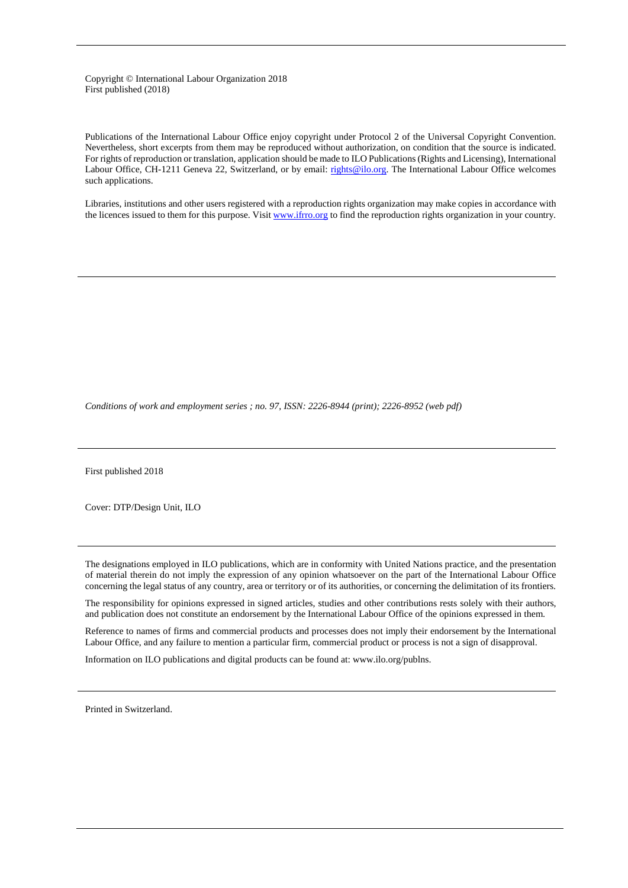#### Copyright © International Labour Organization 2018 First published (2018)

Publications of the International Labour Office enjoy copyright under Protocol 2 of the Universal Copyright Convention. Nevertheless, short excerpts from them may be reproduced without authorization, on condition that the source is indicated. For rights of reproduction or translation, application should be made to ILO Publications (Rights and Licensing), International Labour Office, CH-1211 Geneva 22, Switzerland, or by email: [rights@ilo.org.](mailto:rights@ilo.org) The International Labour Office welcomes such applications.

Libraries, institutions and other users registered with a reproduction rights organization may make copies in accordance with the licences issued to them for this purpose. Visi[t www.ifrro.org](http://www.iffro.org/) to find the reproduction rights organization in your country.

*Conditions of work and employment series ; no. 97, ISSN: 2226-8944 (print); 2226-8952 (web pdf)*

First published 2018

Cover: DTP/Design Unit, ILO

The designations employed in ILO publications, which are in conformity with United Nations practice, and the presentation of material therein do not imply the expression of any opinion whatsoever on the part of the International Labour Office concerning the legal status of any country, area or territory or of its authorities, or concerning the delimitation of its frontiers.

The responsibility for opinions expressed in signed articles, studies and other contributions rests solely with their authors, and publication does not constitute an endorsement by the International Labour Office of the opinions expressed in them.

Reference to names of firms and commercial products and processes does not imply their endorsement by the International Labour Office, and any failure to mention a particular firm, commercial product or process is not a sign of disapproval.

Information on ILO publications and digital products can be found at: www.ilo.org/publns.

Printed in Switzerland.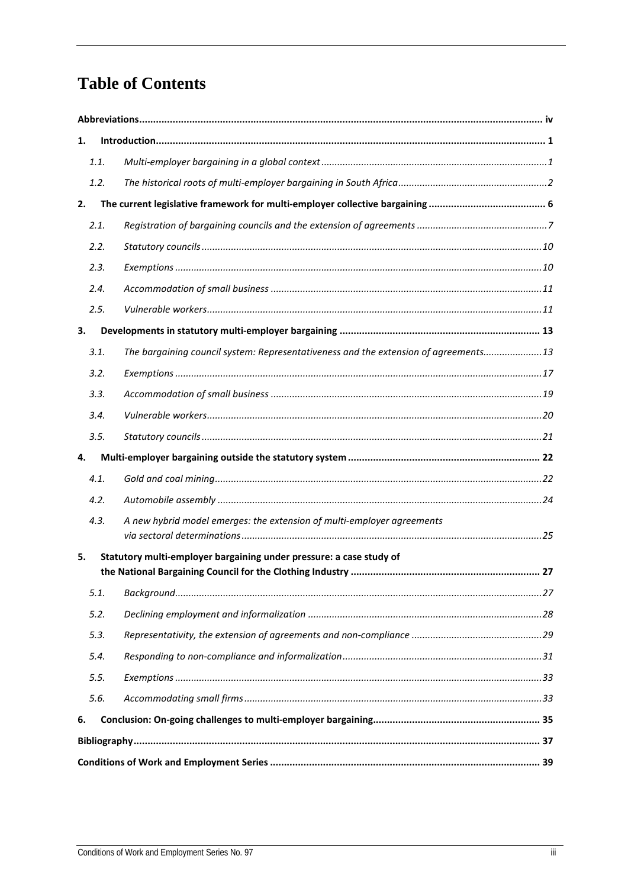# **Table of Contents**

| 1.   |                                                                                      |  |  |  |  |  |
|------|--------------------------------------------------------------------------------------|--|--|--|--|--|
| 1.1. |                                                                                      |  |  |  |  |  |
| 1.2. |                                                                                      |  |  |  |  |  |
| 2.   |                                                                                      |  |  |  |  |  |
| 2.1. |                                                                                      |  |  |  |  |  |
| 2.2. |                                                                                      |  |  |  |  |  |
| 2.3. |                                                                                      |  |  |  |  |  |
| 2.4. |                                                                                      |  |  |  |  |  |
| 2.5. |                                                                                      |  |  |  |  |  |
| 3.   |                                                                                      |  |  |  |  |  |
| 3.1. | The bargaining council system: Representativeness and the extension of agreements 13 |  |  |  |  |  |
| 3.2. |                                                                                      |  |  |  |  |  |
| 3.3. |                                                                                      |  |  |  |  |  |
| 3.4. |                                                                                      |  |  |  |  |  |
| 3.5. |                                                                                      |  |  |  |  |  |
| 4.   |                                                                                      |  |  |  |  |  |
| 4.1. |                                                                                      |  |  |  |  |  |
| 4.2. |                                                                                      |  |  |  |  |  |
| 4.3. | A new hybrid model emerges: the extension of multi-employer agreements               |  |  |  |  |  |
| 5.   | Statutory multi-employer bargaining under pressure: a case study of                  |  |  |  |  |  |
| 5.1. |                                                                                      |  |  |  |  |  |
| 5.2. |                                                                                      |  |  |  |  |  |
| 5.3. |                                                                                      |  |  |  |  |  |
| 5.4. |                                                                                      |  |  |  |  |  |
| 5.5. |                                                                                      |  |  |  |  |  |
| 5.6. |                                                                                      |  |  |  |  |  |
| 6.   |                                                                                      |  |  |  |  |  |
|      |                                                                                      |  |  |  |  |  |
|      |                                                                                      |  |  |  |  |  |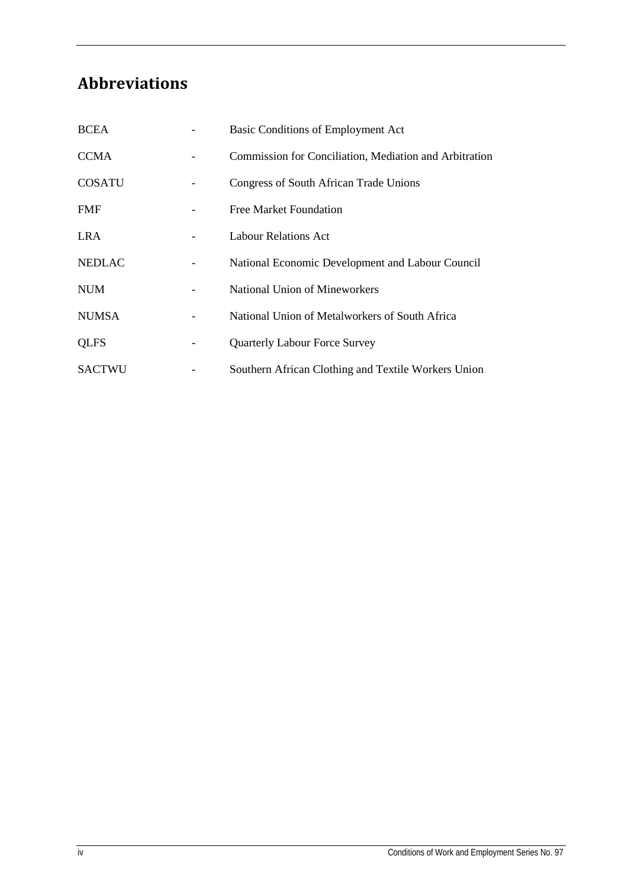# <span id="page-4-0"></span>**Abbreviations**

| <b>BCEA</b>   | Basic Conditions of Employment Act                     |
|---------------|--------------------------------------------------------|
| <b>CCMA</b>   | Commission for Conciliation, Mediation and Arbitration |
| <b>COSATU</b> | Congress of South African Trade Unions                 |
| <b>FMF</b>    | Free Market Foundation                                 |
| LRA           | <b>Labour Relations Act</b>                            |
| <b>NEDLAC</b> | National Economic Development and Labour Council       |
| <b>NUM</b>    | <b>National Union of Mineworkers</b>                   |
| <b>NUMSA</b>  | National Union of Metalworkers of South Africa         |
| <b>QLFS</b>   | <b>Quarterly Labour Force Survey</b>                   |
| <b>SACTWU</b> | Southern African Clothing and Textile Workers Union    |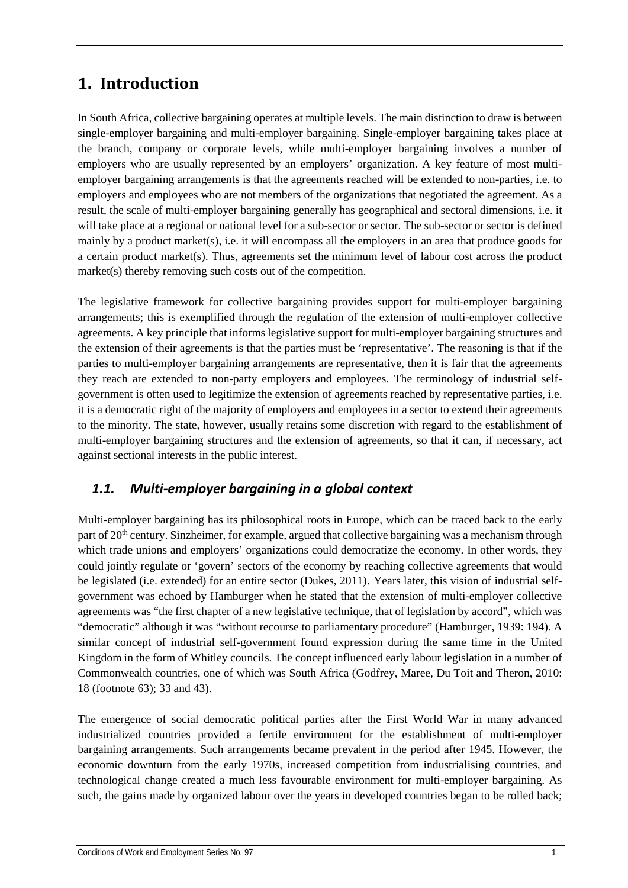## <span id="page-5-0"></span>**1. Introduction**

In South Africa, collective bargaining operates at multiple levels. The main distinction to draw is between single-employer bargaining and multi-employer bargaining. Single-employer bargaining takes place at the branch, company or corporate levels, while multi-employer bargaining involves a number of employers who are usually represented by an employers' organization. A key feature of most multiemployer bargaining arrangements is that the agreements reached will be extended to non-parties, i.e. to employers and employees who are not members of the organizations that negotiated the agreement. As a result, the scale of multi-employer bargaining generally has geographical and sectoral dimensions, i.e. it will take place at a regional or national level for a sub-sector or sector. The sub-sector or sector is defined mainly by a product market(s), i.e. it will encompass all the employers in an area that produce goods for a certain product market(s). Thus, agreements set the minimum level of labour cost across the product market(s) thereby removing such costs out of the competition.

The legislative framework for collective bargaining provides support for multi-employer bargaining arrangements; this is exemplified through the regulation of the extension of multi-employer collective agreements. A key principle that informs legislative support for multi-employer bargaining structures and the extension of their agreements is that the parties must be 'representative'. The reasoning is that if the parties to multi-employer bargaining arrangements are representative, then it is fair that the agreements they reach are extended to non-party employers and employees. The terminology of industrial selfgovernment is often used to legitimize the extension of agreements reached by representative parties, i.e. it is a democratic right of the majority of employers and employees in a sector to extend their agreements to the minority. The state, however, usually retains some discretion with regard to the establishment of multi-employer bargaining structures and the extension of agreements, so that it can, if necessary, act against sectional interests in the public interest.

## <span id="page-5-1"></span>*1.1. Multi-employer bargaining in a global context*

Multi-employer bargaining has its philosophical roots in Europe, which can be traced back to the early part of 20<sup>th</sup> century. Sinzheimer, for example, argued that collective bargaining was a mechanism through which trade unions and employers' organizations could democratize the economy. In other words, they could jointly regulate or 'govern' sectors of the economy by reaching collective agreements that would be legislated (i.e. extended) for an entire sector (Dukes, 2011). Years later, this vision of industrial selfgovernment was echoed by Hamburger when he stated that the extension of multi-employer collective agreements was "the first chapter of a new legislative technique, that of legislation by accord", which was "democratic" although it was "without recourse to parliamentary procedure" (Hamburger, 1939: 194). A similar concept of industrial self-government found expression during the same time in the United Kingdom in the form of Whitley councils. The concept influenced early labour legislation in a number of Commonwealth countries, one of which was South Africa (Godfrey, Maree, Du Toit and Theron, 2010: 18 (footnote 63); 33 and 43).

The emergence of social democratic political parties after the First World War in many advanced industrialized countries provided a fertile environment for the establishment of multi-employer bargaining arrangements. Such arrangements became prevalent in the period after 1945. However, the economic downturn from the early 1970s, increased competition from industrialising countries, and technological change created a much less favourable environment for multi-employer bargaining. As such, the gains made by organized labour over the years in developed countries began to be rolled back;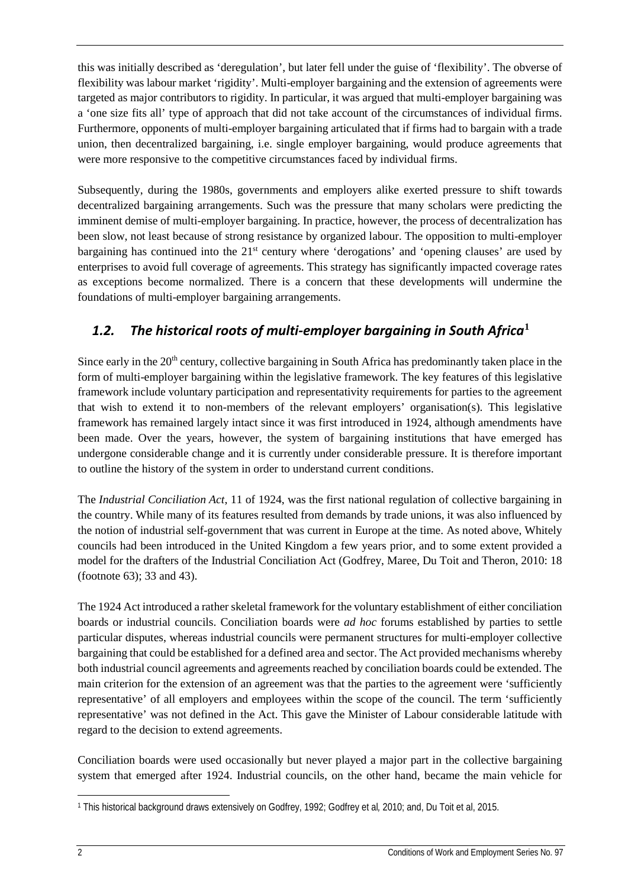this was initially described as 'deregulation', but later fell under the guise of 'flexibility'. The obverse of flexibility was labour market 'rigidity'. Multi-employer bargaining and the extension of agreements were targeted as major contributors to rigidity. In particular, it was argued that multi-employer bargaining was a 'one size fits all' type of approach that did not take account of the circumstances of individual firms. Furthermore, opponents of multi-employer bargaining articulated that if firms had to bargain with a trade union, then decentralized bargaining, i.e. single employer bargaining, would produce agreements that were more responsive to the competitive circumstances faced by individual firms.

Subsequently, during the 1980s, governments and employers alike exerted pressure to shift towards decentralized bargaining arrangements. Such was the pressure that many scholars were predicting the imminent demise of multi-employer bargaining. In practice, however, the process of decentralization has been slow, not least because of strong resistance by organized labour. The opposition to multi-employer bargaining has continued into the  $21<sup>st</sup>$  century where 'derogations' and 'opening clauses' are used by enterprises to avoid full coverage of agreements. This strategy has significantly impacted coverage rates as exceptions become normalized. There is a concern that these developments will undermine the foundations of multi-employer bargaining arrangements.

## <span id="page-6-0"></span>*1.2. The historical roots of multi-employer bargaining in South Africa***[1](#page-6-1)**

Since early in the  $20<sup>th</sup>$  century, collective bargaining in South Africa has predominantly taken place in the form of multi-employer bargaining within the legislative framework. The key features of this legislative framework include voluntary participation and representativity requirements for parties to the agreement that wish to extend it to non-members of the relevant employers' organisation(s). This legislative framework has remained largely intact since it was first introduced in 1924, although amendments have been made. Over the years, however, the system of bargaining institutions that have emerged has undergone considerable change and it is currently under considerable pressure. It is therefore important to outline the history of the system in order to understand current conditions.

The *Industrial Conciliation Act*, 11 of 1924, was the first national regulation of collective bargaining in the country. While many of its features resulted from demands by trade unions, it was also influenced by the notion of industrial self-government that was current in Europe at the time. As noted above, Whitely councils had been introduced in the United Kingdom a few years prior, and to some extent provided a model for the drafters of the Industrial Conciliation Act (Godfrey, Maree, Du Toit and Theron, 2010: 18 (footnote 63); 33 and 43).

The 1924 Act introduced a rather skeletal framework for the voluntary establishment of either conciliation boards or industrial councils. Conciliation boards were *ad hoc* forums established by parties to settle particular disputes, whereas industrial councils were permanent structures for multi-employer collective bargaining that could be established for a defined area and sector. The Act provided mechanisms whereby both industrial council agreements and agreements reached by conciliation boards could be extended. The main criterion for the extension of an agreement was that the parties to the agreement were 'sufficiently representative' of all employers and employees within the scope of the council. The term 'sufficiently representative' was not defined in the Act. This gave the Minister of Labour considerable latitude with regard to the decision to extend agreements.

Conciliation boards were used occasionally but never played a major part in the collective bargaining system that emerged after 1924. Industrial councils, on the other hand, became the main vehicle for

<span id="page-6-1"></span> $\overline{\phantom{a}}$ <sup>1</sup> This historical background draws extensively on Godfrey, 1992; Godfrey et al*,* 2010; and, Du Toit et al, 2015.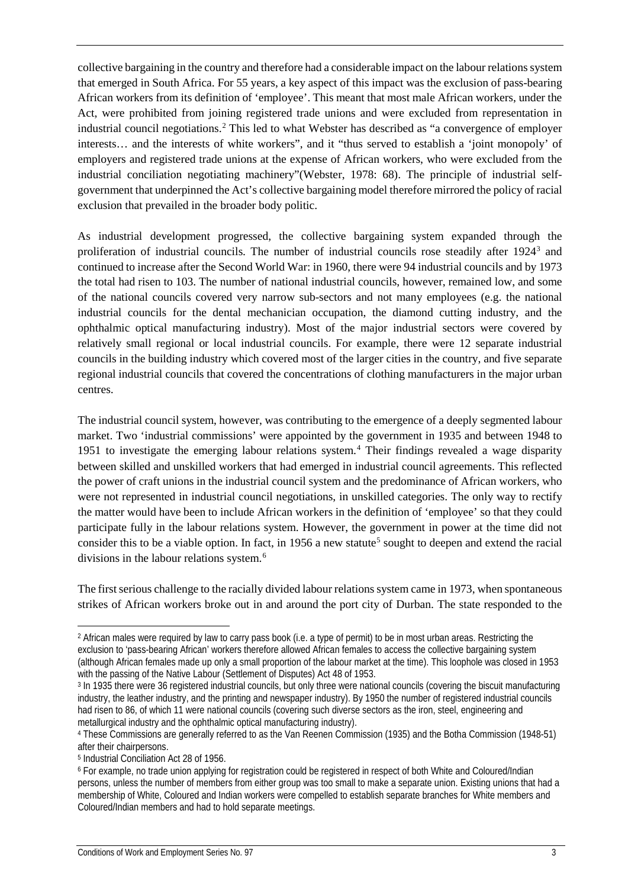collective bargaining in the country and therefore had a considerable impact on the labour relations system that emerged in South Africa. For 55 years, a key aspect of this impact was the exclusion of pass-bearing African workers from its definition of 'employee'. This meant that most male African workers, under the Act, were prohibited from joining registered trade unions and were excluded from representation in industrial council negotiations. [2](#page-7-0) This led to what Webster has described as "a convergence of employer interests… and the interests of white workers", and it "thus served to establish a 'joint monopoly' of employers and registered trade unions at the expense of African workers, who were excluded from the industrial conciliation negotiating machinery"(Webster, 1978: 68). The principle of industrial selfgovernment that underpinned the Act's collective bargaining model therefore mirrored the policy of racial exclusion that prevailed in the broader body politic.

As industrial development progressed, the collective bargaining system expanded through the proliferation of industrial councils. The number of industrial councils rose steadily after 1924[3](#page-7-1) and continued to increase after the Second World War: in 1960, there were 94 industrial councils and by 1973 the total had risen to 103. The number of national industrial councils, however, remained low, and some of the national councils covered very narrow sub-sectors and not many employees (e.g. the national industrial councils for the dental mechanician occupation, the diamond cutting industry, and the ophthalmic optical manufacturing industry). Most of the major industrial sectors were covered by relatively small regional or local industrial councils. For example, there were 12 separate industrial councils in the building industry which covered most of the larger cities in the country, and five separate regional industrial councils that covered the concentrations of clothing manufacturers in the major urban centres.

The industrial council system, however, was contributing to the emergence of a deeply segmented labour market. Two 'industrial commissions' were appointed by the government in 1935 and between 1948 to 1951 to investigate the emerging labour relations system. [4](#page-7-2) Their findings revealed a wage disparity between skilled and unskilled workers that had emerged in industrial council agreements. This reflected the power of craft unions in the industrial council system and the predominance of African workers, who were not represented in industrial council negotiations, in unskilled categories. The only way to rectify the matter would have been to include African workers in the definition of 'employee' so that they could participate fully in the labour relations system. However, the government in power at the time did not consider this to be a viable option. In fact, in 19[5](#page-7-3)6 a new statute<sup>5</sup> sought to deepen and extend the racial divisions in the labour relations system.<sup>[6](#page-7-4)</sup>

The first serious challenge to the racially divided labour relations system came in 1973, when spontaneous strikes of African workers broke out in and around the port city of Durban. The state responded to the

<span id="page-7-0"></span><sup>&</sup>lt;sup>2</sup> African males were required by law to carry pass book (i.e. a type of permit) to be in most urban areas. Restricting the exclusion to 'pass-bearing African' workers therefore allowed African females to access the collective bargaining system (although African females made up only a small proportion of the labour market at the time). This loophole was closed in 1953 with the passing of the Native Labour (Settlement of Disputes) Act 48 of 1953.

<span id="page-7-1"></span><sup>3</sup> In 1935 there were 36 registered industrial councils, but only three were national councils (covering the biscuit manufacturing industry, the leather industry, and the printing and newspaper industry). By 1950 the number of registered industrial councils had risen to 86, of which 11 were national councils (covering such diverse sectors as the iron, steel, engineering and metallurgical industry and the ophthalmic optical manufacturing industry).

<span id="page-7-2"></span><sup>4</sup> These Commissions are generally referred to as the Van Reenen Commission (1935) and the Botha Commission (1948-51) after their chairpersons.

<span id="page-7-3"></span><sup>5</sup> Industrial Conciliation Act 28 of 1956.

<span id="page-7-4"></span><sup>6</sup> For example, no trade union applying for registration could be registered in respect of both White and Coloured/Indian persons, unless the number of members from either group was too small to make a separate union. Existing unions that had a membership of White, Coloured and Indian workers were compelled to establish separate branches for White members and Coloured/Indian members and had to hold separate meetings.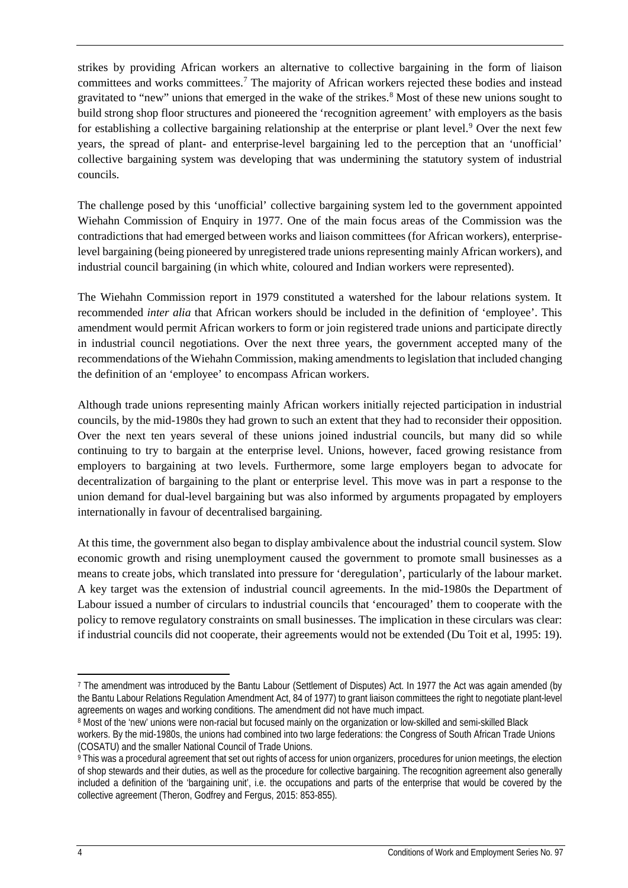strikes by providing African workers an alternative to collective bargaining in the form of liaison committees and works committees.[7](#page-8-0) The majority of African workers rejected these bodies and instead gravitated to "new" unions that emerged in the wake of the strikes[.8](#page-8-1) Most of these new unions sought to build strong shop floor structures and pioneered the 'recognition agreement' with employers as the basis for establishing a collective bargaining relationship at the enterprise or plant level.[9](#page-8-2) Over the next few years, the spread of plant- and enterprise-level bargaining led to the perception that an 'unofficial' collective bargaining system was developing that was undermining the statutory system of industrial councils.

The challenge posed by this 'unofficial' collective bargaining system led to the government appointed Wiehahn Commission of Enquiry in 1977. One of the main focus areas of the Commission was the contradictions that had emerged between works and liaison committees (for African workers), enterpriselevel bargaining (being pioneered by unregistered trade unions representing mainly African workers), and industrial council bargaining (in which white, coloured and Indian workers were represented).

The Wiehahn Commission report in 1979 constituted a watershed for the labour relations system. It recommended *inter alia* that African workers should be included in the definition of 'employee'. This amendment would permit African workers to form or join registered trade unions and participate directly in industrial council negotiations. Over the next three years, the government accepted many of the recommendations of the Wiehahn Commission, making amendments to legislation that included changing the definition of an 'employee' to encompass African workers.

Although trade unions representing mainly African workers initially rejected participation in industrial councils, by the mid-1980s they had grown to such an extent that they had to reconsider their opposition. Over the next ten years several of these unions joined industrial councils, but many did so while continuing to try to bargain at the enterprise level. Unions, however, faced growing resistance from employers to bargaining at two levels. Furthermore, some large employers began to advocate for decentralization of bargaining to the plant or enterprise level. This move was in part a response to the union demand for dual-level bargaining but was also informed by arguments propagated by employers internationally in favour of decentralised bargaining.

At this time, the government also began to display ambivalence about the industrial council system. Slow economic growth and rising unemployment caused the government to promote small businesses as a means to create jobs, which translated into pressure for 'deregulation', particularly of the labour market. A key target was the extension of industrial council agreements. In the mid-1980s the Department of Labour issued a number of circulars to industrial councils that 'encouraged' them to cooperate with the policy to remove regulatory constraints on small businesses. The implication in these circulars was clear: if industrial councils did not cooperate, their agreements would not be extended (Du Toit et al, 1995: 19).

<span id="page-8-0"></span><sup>7</sup> The amendment was introduced by the Bantu Labour (Settlement of Disputes) Act. In 1977 the Act was again amended (by the Bantu Labour Relations Regulation Amendment Act, 84 of 1977) to grant liaison committees the right to negotiate plant-level agreements on wages and working conditions. The amendment did not have much impact.

<span id="page-8-1"></span><sup>8</sup> Most of the 'new' unions were non-racial but focused mainly on the organization or low-skilled and semi-skilled Black workers. By the mid-1980s, the unions had combined into two large federations: the Congress of South African Trade Unions (COSATU) and the smaller National Council of Trade Unions.

<span id="page-8-2"></span><sup>9</sup> This was a procedural agreement that set out rights of access for union organizers, procedures for union meetings, the election of shop stewards and their duties, as well as the procedure for collective bargaining. The recognition agreement also generally included a definition of the 'bargaining unit', i.e. the occupations and parts of the enterprise that would be covered by the collective agreement (Theron, Godfrey and Fergus, 2015: 853-855).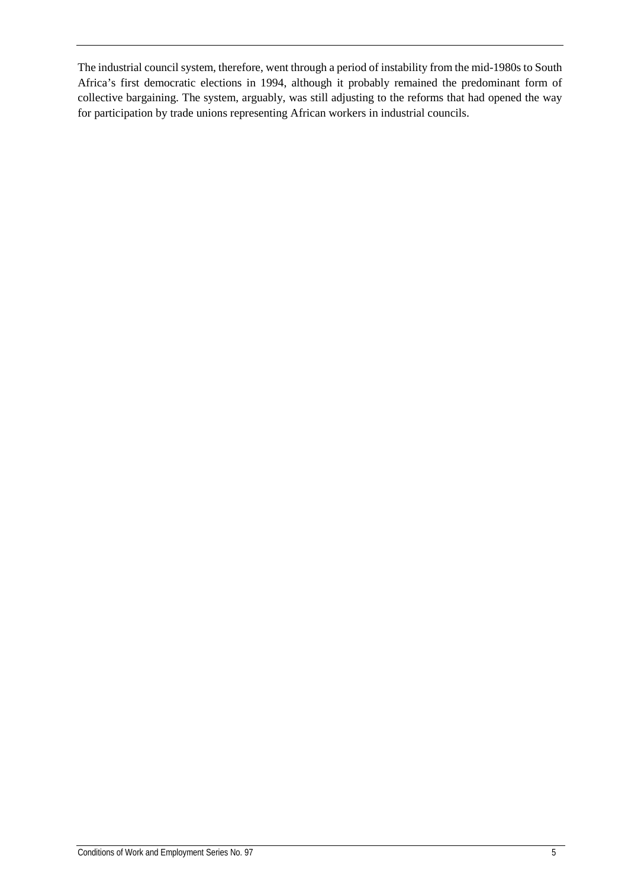The industrial council system, therefore, went through a period of instability from the mid-1980s to South Africa's first democratic elections in 1994, although it probably remained the predominant form of collective bargaining. The system, arguably, was still adjusting to the reforms that had opened the way for participation by trade unions representing African workers in industrial councils.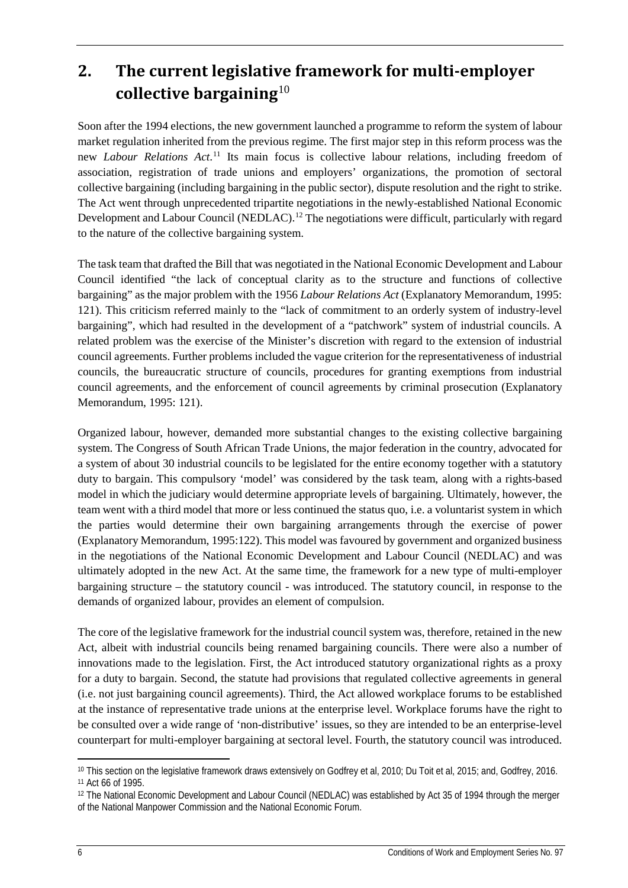## <span id="page-10-0"></span>**2. The current legislative framework for multi-employer collective bargaining**[10](#page-10-1)

Soon after the 1994 elections, the new government launched a programme to reform the system of labour market regulation inherited from the previous regime. The first major step in this reform process was the new *Labour Relations Act*. [11](#page-10-2) Its main focus is collective labour relations, including freedom of association, registration of trade unions and employers' organizations, the promotion of sectoral collective bargaining (including bargaining in the public sector), dispute resolution and the right to strike. The Act went through unprecedented tripartite negotiations in the newly-established National Economic Development and Labour Council (NEDLAC).<sup>[12](#page-10-3)</sup> The negotiations were difficult, particularly with regard to the nature of the collective bargaining system.

The task team that drafted the Bill that was negotiated in the National Economic Development and Labour Council identified "the lack of conceptual clarity as to the structure and functions of collective bargaining" as the major problem with the 1956 *Labour Relations Act* (Explanatory Memorandum, 1995: 121). This criticism referred mainly to the "lack of commitment to an orderly system of industry-level bargaining", which had resulted in the development of a "patchwork" system of industrial councils. A related problem was the exercise of the Minister's discretion with regard to the extension of industrial council agreements. Further problems included the vague criterion for the representativeness of industrial councils, the bureaucratic structure of councils, procedures for granting exemptions from industrial council agreements, and the enforcement of council agreements by criminal prosecution (Explanatory Memorandum, 1995: 121).

Organized labour, however, demanded more substantial changes to the existing collective bargaining system. The Congress of South African Trade Unions, the major federation in the country, advocated for a system of about 30 industrial councils to be legislated for the entire economy together with a statutory duty to bargain. This compulsory 'model' was considered by the task team, along with a rights-based model in which the judiciary would determine appropriate levels of bargaining. Ultimately, however, the team went with a third model that more or less continued the status quo, i.e. a voluntarist system in which the parties would determine their own bargaining arrangements through the exercise of power (Explanatory Memorandum, 1995:122). This model was favoured by government and organized business in the negotiations of the National Economic Development and Labour Council (NEDLAC) and was ultimately adopted in the new Act. At the same time, the framework for a new type of multi-employer bargaining structure – the statutory council - was introduced. The statutory council, in response to the demands of organized labour, provides an element of compulsion.

The core of the legislative framework for the industrial council system was, therefore, retained in the new Act, albeit with industrial councils being renamed bargaining councils. There were also a number of innovations made to the legislation. First, the Act introduced statutory organizational rights as a proxy for a duty to bargain. Second, the statute had provisions that regulated collective agreements in general (i.e. not just bargaining council agreements). Third, the Act allowed workplace forums to be established at the instance of representative trade unions at the enterprise level. Workplace forums have the right to be consulted over a wide range of 'non-distributive' issues, so they are intended to be an enterprise-level counterpart for multi-employer bargaining at sectoral level. Fourth, the statutory council was introduced.

<span id="page-10-1"></span>l <sup>10</sup> This section on the legislative framework draws extensively on Godfrey et al, 2010; Du Toit et al, 2015; and, Godfrey, 2016. <sup>11</sup> Act 66 of 1995.

<span id="page-10-3"></span><span id="page-10-2"></span><sup>&</sup>lt;sup>12</sup> The National Economic Development and Labour Council (NEDLAC) was established by Act 35 of 1994 through the merger of the National Manpower Commission and the National Economic Forum.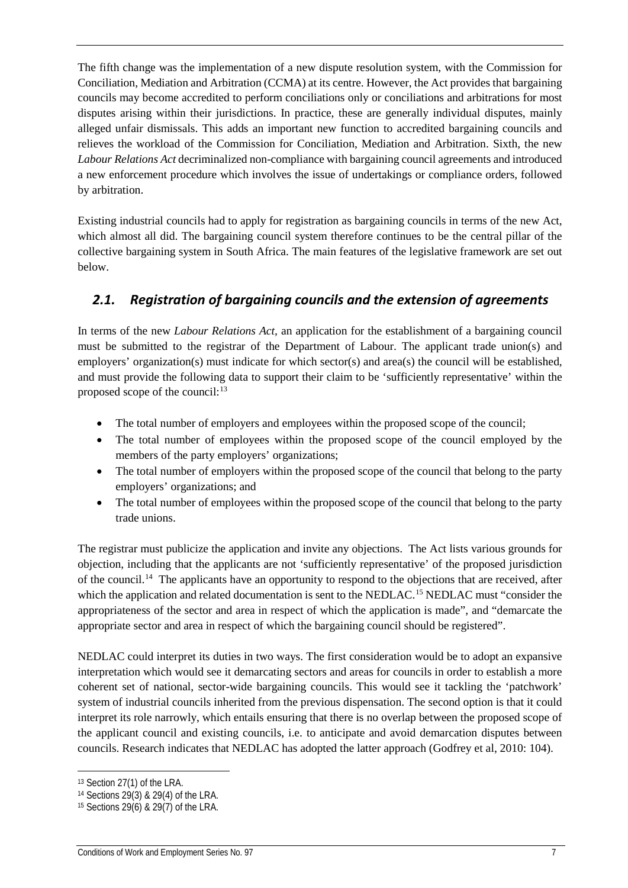The fifth change was the implementation of a new dispute resolution system, with the Commission for Conciliation, Mediation and Arbitration (CCMA) at its centre. However, the Act provides that bargaining councils may become accredited to perform conciliations only or conciliations and arbitrations for most disputes arising within their jurisdictions. In practice, these are generally individual disputes, mainly alleged unfair dismissals. This adds an important new function to accredited bargaining councils and relieves the workload of the Commission for Conciliation, Mediation and Arbitration. Sixth, the new *Labour Relations Act* decriminalized non-compliance with bargaining council agreements and introduced a new enforcement procedure which involves the issue of undertakings or compliance orders, followed by arbitration.

Existing industrial councils had to apply for registration as bargaining councils in terms of the new Act, which almost all did. The bargaining council system therefore continues to be the central pillar of the collective bargaining system in South Africa. The main features of the legislative framework are set out below.

## <span id="page-11-0"></span>*2.1. Registration of bargaining councils and the extension of agreements*

In terms of the new *Labour Relations Act,* an application for the establishment of a bargaining council must be submitted to the registrar of the Department of Labour. The applicant trade union(s) and employers' organization(s) must indicate for which sector(s) and area(s) the council will be established, and must provide the following data to support their claim to be 'sufficiently representative' within the proposed scope of the council: $^{13}$  $^{13}$  $^{13}$ 

- The total number of employers and employees within the proposed scope of the council;
- The total number of employees within the proposed scope of the council employed by the members of the party employers' organizations;
- The total number of employers within the proposed scope of the council that belong to the party employers' organizations; and
- The total number of employees within the proposed scope of the council that belong to the party trade unions.

The registrar must publicize the application and invite any objections. The Act lists various grounds for objection, including that the applicants are not 'sufficiently representative' of the proposed jurisdiction of the council.[14](#page-11-2) The applicants have an opportunity to respond to the objections that are received, after which the application and related documentation is sent to the NEDLAC.<sup>[15](#page-11-3)</sup> NEDLAC must "consider the appropriateness of the sector and area in respect of which the application is made", and "demarcate the appropriate sector and area in respect of which the bargaining council should be registered".

NEDLAC could interpret its duties in two ways. The first consideration would be to adopt an expansive interpretation which would see it demarcating sectors and areas for councils in order to establish a more coherent set of national, sector-wide bargaining councils. This would see it tackling the 'patchwork' system of industrial councils inherited from the previous dispensation. The second option is that it could interpret its role narrowly, which entails ensuring that there is no overlap between the proposed scope of the applicant council and existing councils, i.e. to anticipate and avoid demarcation disputes between councils. Research indicates that NEDLAC has adopted the latter approach (Godfrey et al, 2010: 104).

<span id="page-11-1"></span><sup>13</sup> Section 27(1) of the LRA.

<span id="page-11-2"></span><sup>14</sup> Sections 29(3) & 29(4) of the LRA.

<span id="page-11-3"></span><sup>15</sup> Sections 29(6) & 29(7) of the LRA.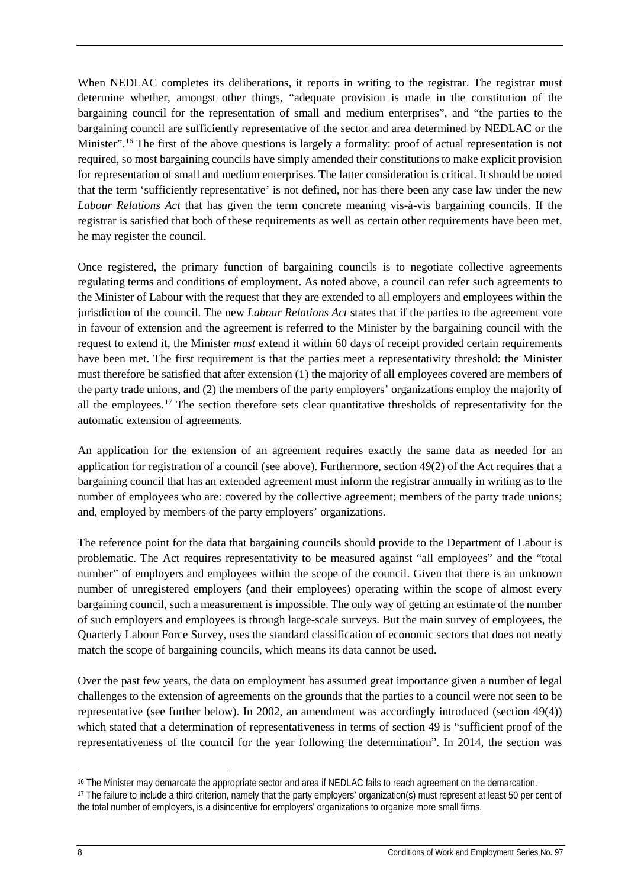When NEDLAC completes its deliberations, it reports in writing to the registrar. The registrar must determine whether, amongst other things, "adequate provision is made in the constitution of the bargaining council for the representation of small and medium enterprises", and "the parties to the bargaining council are sufficiently representative of the sector and area determined by NEDLAC or the Minister".<sup>[16](#page-12-0)</sup> The first of the above questions is largely a formality: proof of actual representation is not required, so most bargaining councils have simply amended their constitutions to make explicit provision for representation of small and medium enterprises. The latter consideration is critical. It should be noted that the term 'sufficiently representative' is not defined, nor has there been any case law under the new *Labour Relations Act* that has given the term concrete meaning vis-à-vis bargaining councils. If the registrar is satisfied that both of these requirements as well as certain other requirements have been met, he may register the council.

Once registered, the primary function of bargaining councils is to negotiate collective agreements regulating terms and conditions of employment. As noted above, a council can refer such agreements to the Minister of Labour with the request that they are extended to all employers and employees within the jurisdiction of the council. The new *Labour Relations Act* states that if the parties to the agreement vote in favour of extension and the agreement is referred to the Minister by the bargaining council with the request to extend it, the Minister *must* extend it within 60 days of receipt provided certain requirements have been met. The first requirement is that the parties meet a representativity threshold: the Minister must therefore be satisfied that after extension (1) the majority of all employees covered are members of the party trade unions, and (2) the members of the party employers' organizations employ the majority of all the employees.<sup>[17](#page-12-1)</sup> The section therefore sets clear quantitative thresholds of representativity for the automatic extension of agreements.

An application for the extension of an agreement requires exactly the same data as needed for an application for registration of a council (see above). Furthermore, section 49(2) of the Act requires that a bargaining council that has an extended agreement must inform the registrar annually in writing as to the number of employees who are: covered by the collective agreement; members of the party trade unions; and, employed by members of the party employers' organizations.

The reference point for the data that bargaining councils should provide to the Department of Labour is problematic. The Act requires representativity to be measured against "all employees" and the "total number" of employers and employees within the scope of the council. Given that there is an unknown number of unregistered employers (and their employees) operating within the scope of almost every bargaining council, such a measurement is impossible. The only way of getting an estimate of the number of such employers and employees is through large-scale surveys. But the main survey of employees, the Quarterly Labour Force Survey, uses the standard classification of economic sectors that does not neatly match the scope of bargaining councils, which means its data cannot be used.

Over the past few years, the data on employment has assumed great importance given a number of legal challenges to the extension of agreements on the grounds that the parties to a council were not seen to be representative (see further below). In 2002, an amendment was accordingly introduced (section 49(4)) which stated that a determination of representativeness in terms of section 49 is "sufficient proof of the representativeness of the council for the year following the determination". In 2014, the section was

<span id="page-12-0"></span><sup>16</sup> The Minister may demarcate the appropriate sector and area if NEDLAC fails to reach agreement on the demarcation.

<span id="page-12-1"></span><sup>17</sup> The failure to include a third criterion, namely that the party employers' organization(s) must represent at least 50 per cent of the total number of employers, is a disincentive for employers' organizations to organize more small firms.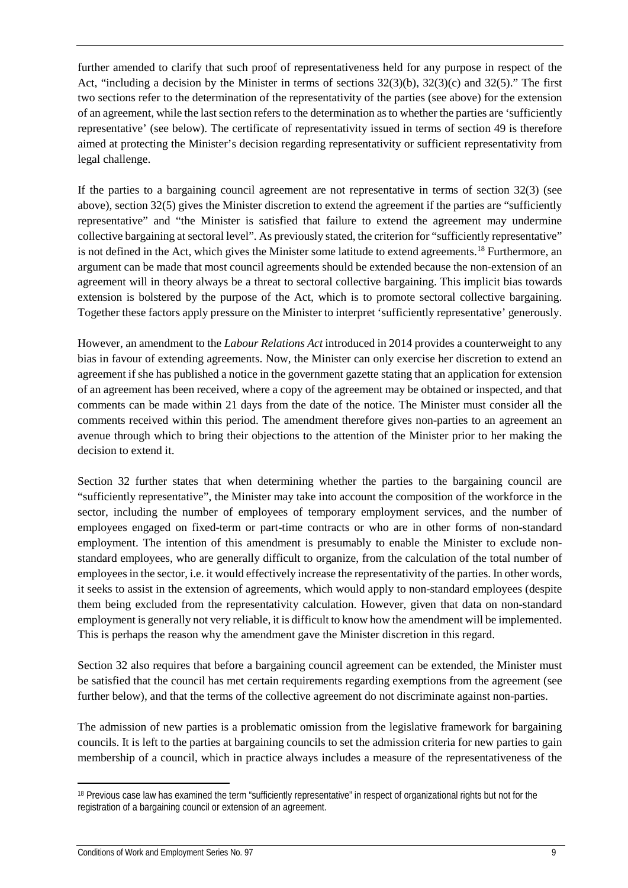further amended to clarify that such proof of representativeness held for any purpose in respect of the Act, "including a decision by the Minister in terms of sections 32(3)(b), 32(3)(c) and 32(5)." The first two sections refer to the determination of the representativity of the parties (see above) for the extension of an agreement, while the last section refers to the determination as to whether the parties are 'sufficiently representative' (see below). The certificate of representativity issued in terms of section 49 is therefore aimed at protecting the Minister's decision regarding representativity or sufficient representativity from legal challenge.

If the parties to a bargaining council agreement are not representative in terms of section 32(3) (see above), section 32(5) gives the Minister discretion to extend the agreement if the parties are "sufficiently representative" and "the Minister is satisfied that failure to extend the agreement may undermine collective bargaining at sectoral level". As previously stated, the criterion for "sufficiently representative" is not defined in the Act, which gives the Minister some latitude to extend agreements.<sup>[18](#page-13-0)</sup> Furthermore, an argument can be made that most council agreements should be extended because the non-extension of an agreement will in theory always be a threat to sectoral collective bargaining. This implicit bias towards extension is bolstered by the purpose of the Act, which is to promote sectoral collective bargaining. Together these factors apply pressure on the Minister to interpret 'sufficiently representative' generously.

However, an amendment to the *Labour Relations Act* introduced in 2014 provides a counterweight to any bias in favour of extending agreements. Now, the Minister can only exercise her discretion to extend an agreement if she has published a notice in the government gazette stating that an application for extension of an agreement has been received, where a copy of the agreement may be obtained or inspected, and that comments can be made within 21 days from the date of the notice. The Minister must consider all the comments received within this period. The amendment therefore gives non-parties to an agreement an avenue through which to bring their objections to the attention of the Minister prior to her making the decision to extend it.

Section 32 further states that when determining whether the parties to the bargaining council are "sufficiently representative", the Minister may take into account the composition of the workforce in the sector, including the number of employees of temporary employment services, and the number of employees engaged on fixed-term or part-time contracts or who are in other forms of non-standard employment. The intention of this amendment is presumably to enable the Minister to exclude nonstandard employees, who are generally difficult to organize, from the calculation of the total number of employees in the sector, i.e. it would effectively increase the representativity of the parties. In other words, it seeks to assist in the extension of agreements, which would apply to non-standard employees (despite them being excluded from the representativity calculation. However, given that data on non-standard employment is generally not very reliable, it is difficult to know how the amendment will be implemented. This is perhaps the reason why the amendment gave the Minister discretion in this regard.

Section 32 also requires that before a bargaining council agreement can be extended, the Minister must be satisfied that the council has met certain requirements regarding exemptions from the agreement (see further below), and that the terms of the collective agreement do not discriminate against non-parties.

The admission of new parties is a problematic omission from the legislative framework for bargaining councils. It is left to the parties at bargaining councils to set the admission criteria for new parties to gain membership of a council, which in practice always includes a measure of the representativeness of the

<span id="page-13-0"></span><sup>&</sup>lt;sup>18</sup> Previous case law has examined the term "sufficiently representative" in respect of organizational rights but not for the registration of a bargaining council or extension of an agreement.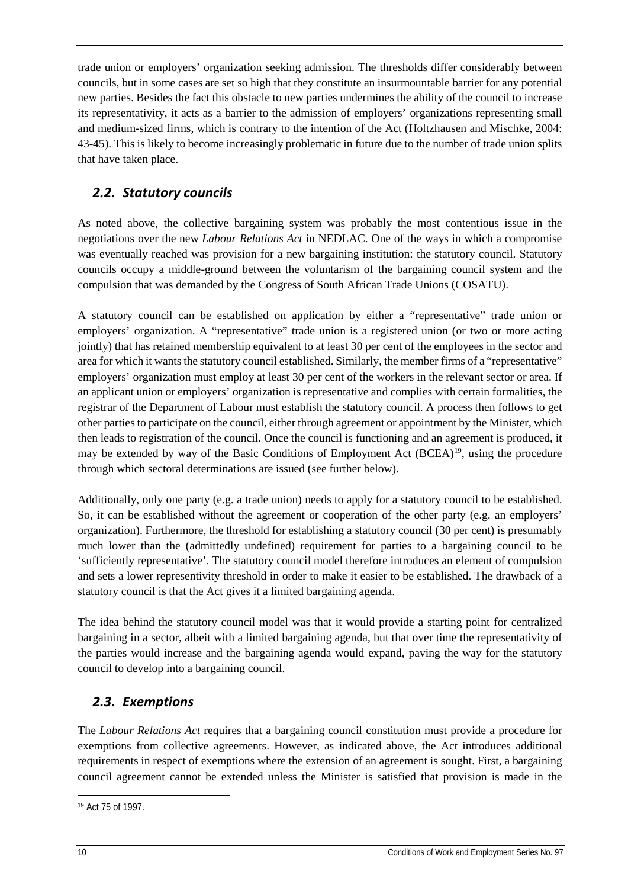trade union or employers' organization seeking admission. The thresholds differ considerably between councils, but in some cases are set so high that they constitute an insurmountable barrier for any potential new parties. Besides the fact this obstacle to new parties undermines the ability of the council to increase its representativity, it acts as a barrier to the admission of employers' organizations representing small and medium-sized firms, which is contrary to the intention of the Act (Holtzhausen and Mischke, 2004: 43-45). This is likely to become increasingly problematic in future due to the number of trade union splits that have taken place.

## <span id="page-14-0"></span>*2.2. Statutory councils*

As noted above, the collective bargaining system was probably the most contentious issue in the negotiations over the new *Labour Relations Act* in NEDLAC. One of the ways in which a compromise was eventually reached was provision for a new bargaining institution: the statutory council. Statutory councils occupy a middle-ground between the voluntarism of the bargaining council system and the compulsion that was demanded by the Congress of South African Trade Unions (COSATU).

A statutory council can be established on application by either a "representative" trade union or employers' organization. A "representative" trade union is a registered union (or two or more acting jointly) that has retained membership equivalent to at least 30 per cent of the employees in the sector and area for which it wants the statutory council established. Similarly, the member firms of a "representative" employers' organization must employ at least 30 per cent of the workers in the relevant sector or area. If an applicant union or employers' organization is representative and complies with certain formalities, the registrar of the Department of Labour must establish the statutory council. A process then follows to get other parties to participate on the council, either through agreement or appointment by the Minister, which then leads to registration of the council. Once the council is functioning and an agreement is produced, it may be extended by way of the Basic Conditions of Employment Act (BCEA)<sup>19</sup>, using the procedure through which sectoral determinations are issued (see further below).

Additionally, only one party (e.g. a trade union) needs to apply for a statutory council to be established. So, it can be established without the agreement or cooperation of the other party (e.g. an employers' organization). Furthermore, the threshold for establishing a statutory council (30 per cent) is presumably much lower than the (admittedly undefined) requirement for parties to a bargaining council to be 'sufficiently representative'. The statutory council model therefore introduces an element of compulsion and sets a lower representivity threshold in order to make it easier to be established. The drawback of a statutory council is that the Act gives it a limited bargaining agenda.

The idea behind the statutory council model was that it would provide a starting point for centralized bargaining in a sector, albeit with a limited bargaining agenda, but that over time the representativity of the parties would increase and the bargaining agenda would expand, paving the way for the statutory council to develop into a bargaining council.

## <span id="page-14-1"></span>*2.3. Exemptions*

The *Labour Relations Act* requires that a bargaining council constitution must provide a procedure for exemptions from collective agreements. However, as indicated above, the Act introduces additional requirements in respect of exemptions where the extension of an agreement is sought. First, a bargaining council agreement cannot be extended unless the Minister is satisfied that provision is made in the

<span id="page-14-2"></span><sup>19</sup> Act 75 of 1997.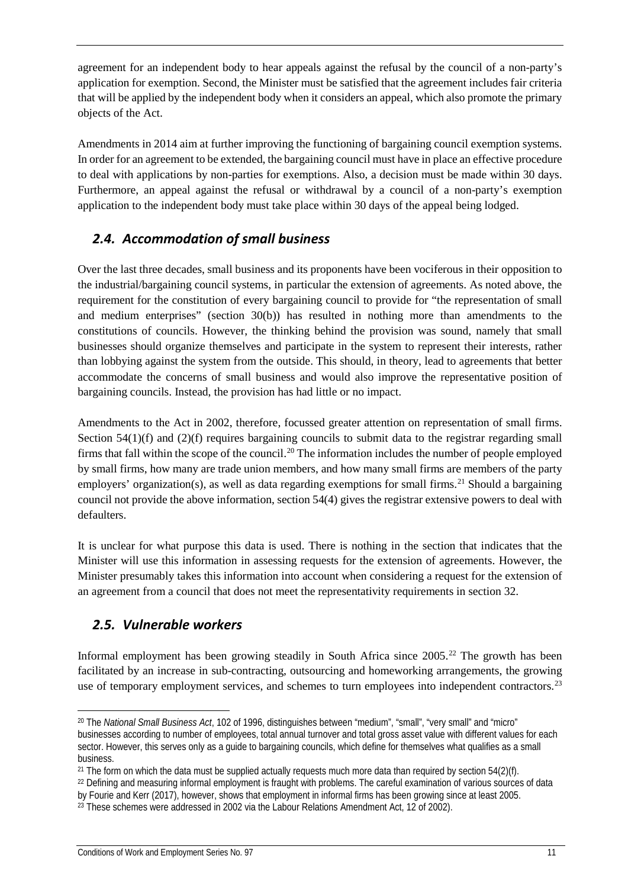agreement for an independent body to hear appeals against the refusal by the council of a non-party's application for exemption. Second, the Minister must be satisfied that the agreement includes fair criteria that will be applied by the independent body when it considers an appeal, which also promote the primary objects of the Act.

Amendments in 2014 aim at further improving the functioning of bargaining council exemption systems. In order for an agreement to be extended, the bargaining council must have in place an effective procedure to deal with applications by non-parties for exemptions. Also, a decision must be made within 30 days. Furthermore, an appeal against the refusal or withdrawal by a council of a non-party's exemption application to the independent body must take place within 30 days of the appeal being lodged.

## <span id="page-15-0"></span>*2.4. Accommodation of small business*

Over the last three decades, small business and its proponents have been vociferous in their opposition to the industrial/bargaining council systems, in particular the extension of agreements. As noted above, the requirement for the constitution of every bargaining council to provide for "the representation of small and medium enterprises" (section 30(b)) has resulted in nothing more than amendments to the constitutions of councils. However, the thinking behind the provision was sound, namely that small businesses should organize themselves and participate in the system to represent their interests, rather than lobbying against the system from the outside. This should, in theory, lead to agreements that better accommodate the concerns of small business and would also improve the representative position of bargaining councils. Instead, the provision has had little or no impact.

Amendments to the Act in 2002, therefore, focussed greater attention on representation of small firms. Section  $54(1)(f)$  and  $(2)(f)$  requires bargaining councils to submit data to the registrar regarding small firms that fall within the scope of the council.<sup>[20](#page-15-2)</sup> The information includes the number of people employed by small firms, how many are trade union members, and how many small firms are members of the party employers' organization(s), as well as data regarding exemptions for small firms.<sup>[21](#page-15-3)</sup> Should a bargaining council not provide the above information, section 54(4) gives the registrar extensive powers to deal with defaulters.

It is unclear for what purpose this data is used. There is nothing in the section that indicates that the Minister will use this information in assessing requests for the extension of agreements. However, the Minister presumably takes this information into account when considering a request for the extension of an agreement from a council that does not meet the representativity requirements in section 32.

## <span id="page-15-1"></span>*2.5. Vulnerable workers*

Informal employment has been growing steadily in South Africa since 2005. [22](#page-15-4) The growth has been facilitated by an increase in sub-contracting, outsourcing and homeworking arrangements, the growing use of temporary employment services, and schemes to turn employees into independent contractors.<sup>[23](#page-15-5)</sup>

<span id="page-15-2"></span><sup>20</sup> The *National Small Business Act*, 102 of 1996, distinguishes between "medium", "small", "very small" and "micro" businesses according to number of employees, total annual turnover and total gross asset value with different values for each sector. However, this serves only as a guide to bargaining councils, which define for themselves what qualifies as a small business.

<span id="page-15-3"></span><sup>&</sup>lt;sup>21</sup> The form on which the data must be supplied actually requests much more data than required by section  $54(2)(f)$ .

<span id="page-15-4"></span><sup>22</sup> Defining and measuring informal employment is fraught with problems. The careful examination of various sources of data by Fourie and Kerr (2017), however, shows that employment in informal firms has been growing since at least 2005.

<span id="page-15-5"></span><sup>23</sup> These schemes were addressed in 2002 via the Labour Relations Amendment Act, 12 of 2002).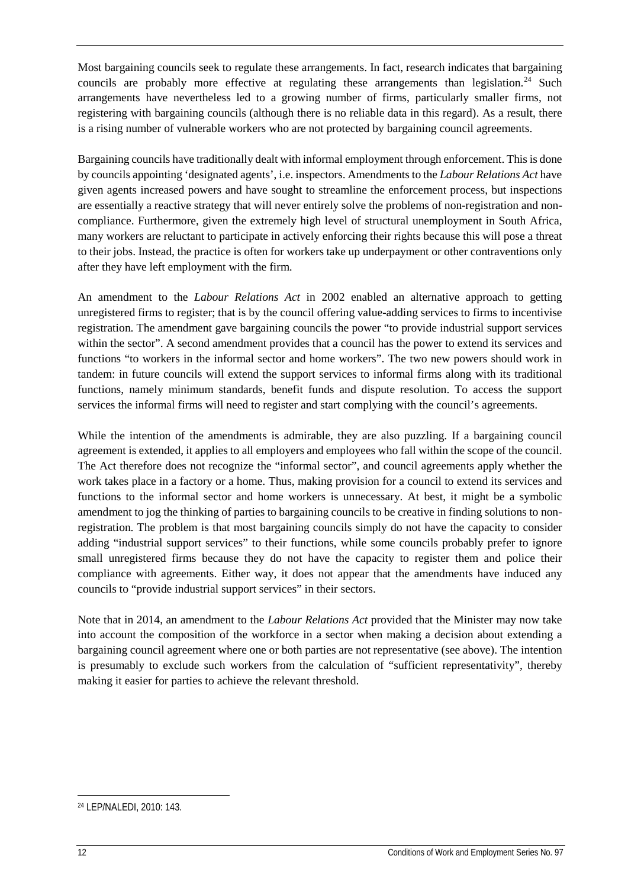Most bargaining councils seek to regulate these arrangements. In fact, research indicates that bargaining councils are probably more effective at regulating these arrangements than legislation.<sup>[24](#page-16-0)</sup> Such arrangements have nevertheless led to a growing number of firms, particularly smaller firms, not registering with bargaining councils (although there is no reliable data in this regard). As a result, there is a rising number of vulnerable workers who are not protected by bargaining council agreements.

Bargaining councils have traditionally dealt with informal employment through enforcement. This is done by councils appointing 'designated agents', i.e. inspectors. Amendments to the *Labour Relations Act* have given agents increased powers and have sought to streamline the enforcement process, but inspections are essentially a reactive strategy that will never entirely solve the problems of non-registration and noncompliance. Furthermore, given the extremely high level of structural unemployment in South Africa, many workers are reluctant to participate in actively enforcing their rights because this will pose a threat to their jobs. Instead, the practice is often for workers take up underpayment or other contraventions only after they have left employment with the firm.

An amendment to the *Labour Relations Act* in 2002 enabled an alternative approach to getting unregistered firms to register; that is by the council offering value-adding services to firms to incentivise registration. The amendment gave bargaining councils the power "to provide industrial support services within the sector". A second amendment provides that a council has the power to extend its services and functions "to workers in the informal sector and home workers". The two new powers should work in tandem: in future councils will extend the support services to informal firms along with its traditional functions, namely minimum standards, benefit funds and dispute resolution. To access the support services the informal firms will need to register and start complying with the council's agreements.

While the intention of the amendments is admirable, they are also puzzling. If a bargaining council agreement is extended, it applies to all employers and employees who fall within the scope of the council. The Act therefore does not recognize the "informal sector", and council agreements apply whether the work takes place in a factory or a home. Thus, making provision for a council to extend its services and functions to the informal sector and home workers is unnecessary. At best, it might be a symbolic amendment to jog the thinking of parties to bargaining councils to be creative in finding solutions to nonregistration. The problem is that most bargaining councils simply do not have the capacity to consider adding "industrial support services" to their functions, while some councils probably prefer to ignore small unregistered firms because they do not have the capacity to register them and police their compliance with agreements. Either way, it does not appear that the amendments have induced any councils to "provide industrial support services" in their sectors.

Note that in 2014, an amendment to the *Labour Relations Act* provided that the Minister may now take into account the composition of the workforce in a sector when making a decision about extending a bargaining council agreement where one or both parties are not representative (see above). The intention is presumably to exclude such workers from the calculation of "sufficient representativity", thereby making it easier for parties to achieve the relevant threshold.

<span id="page-16-0"></span><sup>24</sup> LEP/NALEDI, 2010: 143.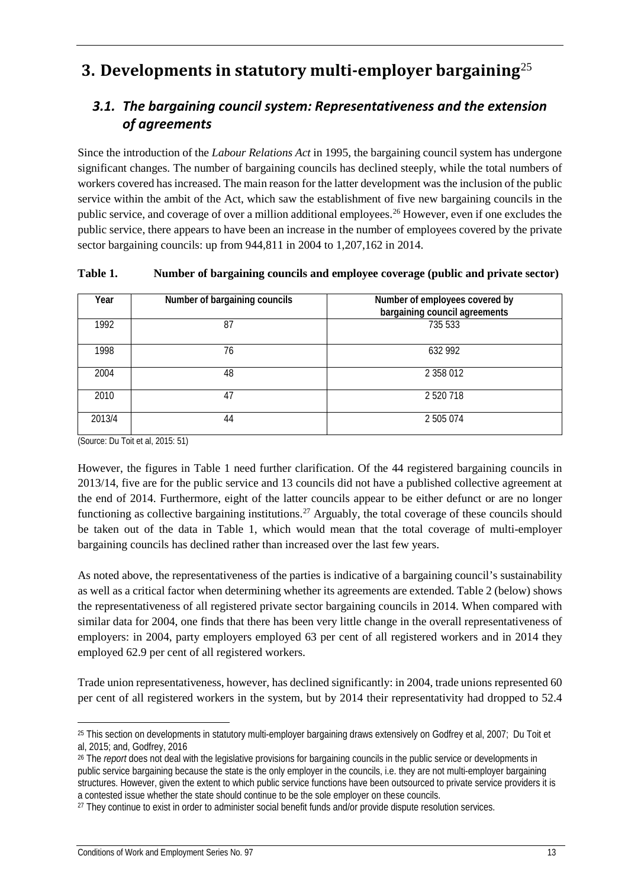# <span id="page-17-0"></span>**3. Developments in statutory multi-employer bargaining**[25](#page-17-2)

## <span id="page-17-1"></span>*3.1. The bargaining council system: Representativeness and the extension of agreements*

Since the introduction of the *Labour Relations Act* in 1995, the bargaining council system has undergone significant changes. The number of bargaining councils has declined steeply, while the total numbers of workers covered has increased. The main reason for the latter development was the inclusion of the public service within the ambit of the Act, which saw the establishment of five new bargaining councils in the public service, and coverage of over a million additional employees.[26](#page-17-3) However, even if one excludes the public service, there appears to have been an increase in the number of employees covered by the private sector bargaining councils: up from 944,811 in 2004 to 1,207,162 in 2014.

| Year   | Number of bargaining councils | Number of employees covered by<br>bargaining council agreements |
|--------|-------------------------------|-----------------------------------------------------------------|
| 1992   | 87                            | 735 533                                                         |
| 1998   | 76                            | 632 992                                                         |
| 2004   | 48                            | 2 358 012                                                       |
| 2010   | 47                            | 2 520 718                                                       |
| 2013/4 | 44                            | 2 505 074                                                       |

**Table 1. Number of bargaining councils and employee coverage (public and private sector)**

(Source: Du Toit et al, 2015: 51)

However, the figures in Table 1 need further clarification. Of the 44 registered bargaining councils in 2013/14, five are for the public service and 13 councils did not have a published collective agreement at the end of 2014. Furthermore, eight of the latter councils appear to be either defunct or are no longer functioning as collective bargaining institutions.<sup>27</sup> Arguably, the total coverage of these councils should be taken out of the data in Table 1, which would mean that the total coverage of multi-employer bargaining councils has declined rather than increased over the last few years.

As noted above, the representativeness of the parties is indicative of a bargaining council's sustainability as well as a critical factor when determining whether its agreements are extended. Table 2 (below) shows the representativeness of all registered private sector bargaining councils in 2014. When compared with similar data for 2004, one finds that there has been very little change in the overall representativeness of employers: in 2004, party employers employed 63 per cent of all registered workers and in 2014 they employed 62.9 per cent of all registered workers.

Trade union representativeness, however, has declined significantly: in 2004, trade unions represented 60 per cent of all registered workers in the system, but by 2014 their representativity had dropped to 52.4

<span id="page-17-2"></span><sup>25</sup> This section on developments in statutory multi-employer bargaining draws extensively on Godfrey et al, 2007; Du Toit et al, 2015; and, Godfrey, 2016

<span id="page-17-3"></span><sup>26</sup> The *report* does not deal with the legislative provisions for bargaining councils in the public service or developments in public service bargaining because the state is the only employer in the councils, i.e. they are not multi-employer bargaining structures. However, given the extent to which public service functions have been outsourced to private service providers it is a contested issue whether the state should continue to be the sole employer on these councils.

<span id="page-17-4"></span><sup>27</sup> They continue to exist in order to administer social benefit funds and/or provide dispute resolution services.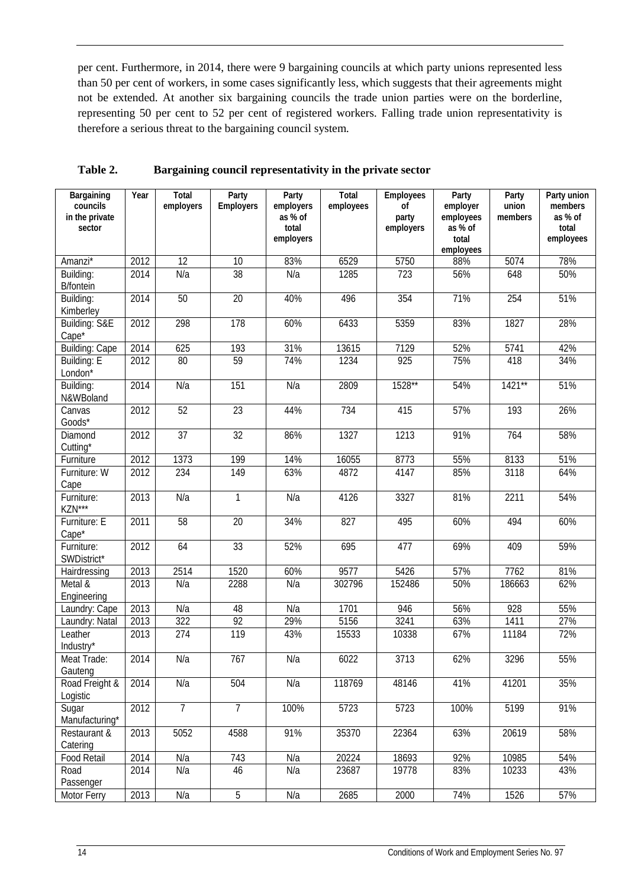per cent. Furthermore, in 2014, there were 9 bargaining councils at which party unions represented less than 50 per cent of workers, in some cases significantly less, which suggests that their agreements might not be extended. At another six bargaining councils the trade union parties were on the borderline, representing 50 per cent to 52 per cent of registered workers. Falling trade union representativity is therefore a serious threat to the bargaining council system.

| Bargaining<br>councils<br>in the private<br>sector | Year | Total<br>employers | Party<br>Employers | Party<br>employers<br>as % of<br>total<br>employers | <b>Total</b><br>employees | Employees<br>of<br>party<br>employers | Party<br>employer<br>employees<br>as % of<br>total | Party<br>union<br>members | Party union<br>members<br>as % of<br>total<br>employees |
|----------------------------------------------------|------|--------------------|--------------------|-----------------------------------------------------|---------------------------|---------------------------------------|----------------------------------------------------|---------------------------|---------------------------------------------------------|
|                                                    |      |                    |                    |                                                     |                           |                                       | employees                                          |                           |                                                         |
| Amanzi*                                            | 2012 | 12                 | 10                 | 83%                                                 | 6529                      | 5750                                  | 88%                                                | 5074                      | 78%                                                     |
| Building:<br><b>B/fontein</b>                      | 2014 | N/a                | 38                 | N/a                                                 | 1285                      | 723                                   | 56%                                                | 648                       | 50%                                                     |
| Building:<br>Kimberley                             | 2014 | 50                 | 20                 | 40%                                                 | 496                       | 354                                   | 71%                                                | 254                       | 51%                                                     |
| Building: S&E<br>Cape <sup>*</sup>                 | 2012 | 298                | 178                | 60%                                                 | 6433                      | 5359                                  | 83%                                                | 1827                      | 28%                                                     |
| <b>Building: Cape</b>                              | 2014 | 625                | 193                | 31%                                                 | 13615                     | 7129                                  | 52%                                                | 5741                      | 42%                                                     |
| Building: E<br>London*                             | 2012 | 80                 | 59                 | 74%                                                 | 1234                      | $\overline{925}$                      | 75%                                                | 418                       | 34%                                                     |
| Building:<br>N&WBoland                             | 2014 | N/a                | 151                | N/a                                                 | 2809                      | 1528**                                | 54%                                                | $1421**$                  | 51%                                                     |
| Canvas<br>Goods*                                   | 2012 | 52                 | $\overline{23}$    | 44%                                                 | 734                       | 415                                   | 57%                                                | 193                       | 26%                                                     |
| Diamond<br>Cutting*                                | 2012 | $\overline{37}$    | $\overline{32}$    | 86%                                                 | 1327                      | 1213                                  | 91%                                                | 764                       | 58%                                                     |
| Furniture                                          | 2012 | 1373               | 199                | 14%                                                 | 16055                     | 8773                                  | 55%                                                | 8133                      | 51%                                                     |
| Furniture: W<br>Cape                               | 2012 | 234                | 149                | 63%                                                 | 4872                      | 4147                                  | 85%                                                | 3118                      | 64%                                                     |
| Furniture:<br>KZN***                               | 2013 | N/a                | 1                  | N/a                                                 | 4126                      | 3327                                  | 81%                                                | 2211                      | 54%                                                     |
| Furniture: E<br>Cape*                              | 2011 | 58                 | 20                 | 34%                                                 | 827                       | 495                                   | 60%                                                | 494                       | 60%                                                     |
| Furniture:<br>SWDistrict*                          | 2012 | 64                 | 33                 | 52%                                                 | 695                       | 477                                   | 69%                                                | 409                       | 59%                                                     |
| Hairdressing                                       | 2013 | 2514               | 1520               | 60%                                                 | 9577                      | 5426                                  | 57%                                                | 7762                      | 81%                                                     |
| Metal &<br>Engineering                             | 2013 | N/a                | 2288               | N/a                                                 | 302796                    | 152486                                | 50%                                                | 186663                    | 62%                                                     |
| Laundry: Cape                                      | 2013 | N/a                | 48                 | N/a                                                 | 1701                      | 946                                   | 56%                                                | 928                       | 55%                                                     |
| Laundry: Natal                                     | 2013 | $\overline{322}$   | 92                 | 29%                                                 | 5156                      | 3241                                  | 63%                                                | 1411                      | 27%                                                     |
| Leather<br>Industry*                               | 2013 | 274                | 119                | 43%                                                 | 15533                     | 10338                                 | 67%                                                | 11184                     | 72%                                                     |
| Meat Trade:<br>Gauteng                             | 2014 | N/a                | 767                | N/a                                                 | 6022                      | 3713                                  | 62%                                                | 3296                      | 55%                                                     |
| Road Freight &<br>Logistic                         | 2014 | N/a                | 504                | N/a                                                 | 118769                    | 48146                                 | 41%                                                | 41201                     | 35%                                                     |
| Sugar<br>Manufacturing*                            | 2012 | $\overline{7}$     | $\overline{7}$     | 100%                                                | 5723                      | 5723                                  | 100%                                               | 5199                      | 91%                                                     |
| Restaurant &<br>Catering                           | 2013 | 5052               | 4588               | 91%                                                 | 35370                     | 22364                                 | 63%                                                | 20619                     | 58%                                                     |
| Food Retail                                        | 2014 | N/a                | 743                | N/a                                                 | 20224                     | 18693                                 | 92%                                                | 10985                     | 54%                                                     |
| Road<br>Passenger                                  | 2014 | N/a                | 46                 | N/a                                                 | 23687                     | 19778                                 | 83%                                                | 10233                     | 43%                                                     |
| Motor Ferry                                        | 2013 | N/a                | $\overline{5}$     | N/a                                                 | 2685                      | 2000                                  | 74%                                                | 1526                      | 57%                                                     |

**Table 2. Bargaining council representativity in the private sector**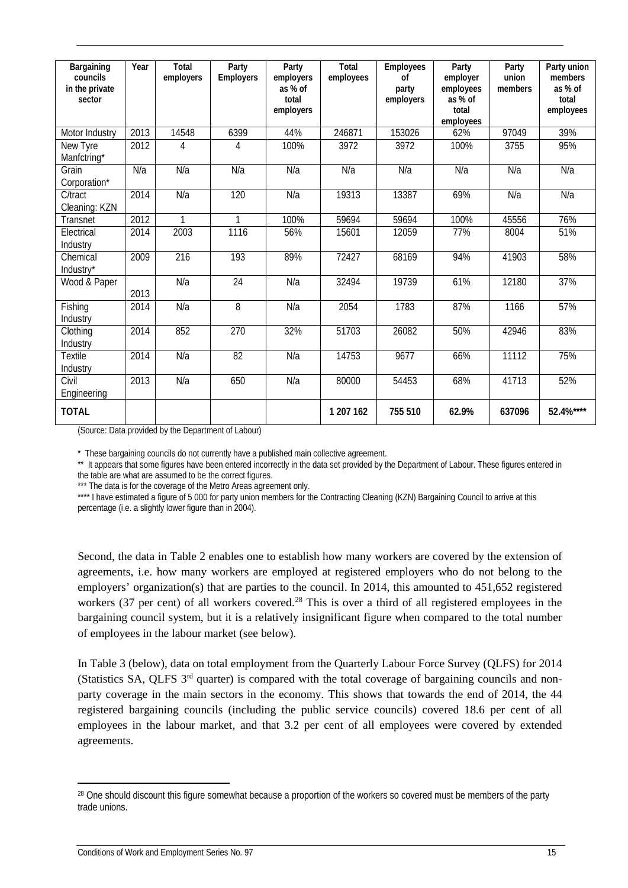| Bargaining<br>councils<br>in the private<br>sector | Year | Total<br>employers | Party<br>Employers | Party<br>employers<br>as % of<br>total<br>employers | Total<br>employees | Employees<br>0f<br>party<br>employers | Party<br>employer<br>employees<br>as % of<br>total<br>employees | Party<br>union<br>members | Party union<br>members<br>as % of<br>total<br>employees |
|----------------------------------------------------|------|--------------------|--------------------|-----------------------------------------------------|--------------------|---------------------------------------|-----------------------------------------------------------------|---------------------------|---------------------------------------------------------|
| Motor Industry                                     | 2013 | 14548              | 6399               | 44%                                                 | 246871             | 153026                                | 62%                                                             | 97049                     | 39%                                                     |
| New Tyre<br>Manfctring*                            | 2012 | 4                  | 4                  | 100%                                                | 3972               | 3972                                  | 100%                                                            | 3755                      | 95%                                                     |
| Grain<br>Corporation*                              | N/a  | N/a                | N/a                | N/a                                                 | N/a                | N/a                                   | N/a                                                             | N/a                       | N/a                                                     |
| C/tract<br>Cleaning: KZN                           | 2014 | N/a                | 120                | N/a                                                 | 19313              | 13387                                 | 69%                                                             | N/a                       | N/a                                                     |
| Transnet                                           | 2012 | 1                  | 1                  | 100%                                                | 59694              | 59694                                 | 100%                                                            | 45556                     | 76%                                                     |
| Electrical<br>Industry                             | 2014 | 2003               | 1116               | 56%                                                 | 15601              | 12059                                 | 77%                                                             | 8004                      | 51%                                                     |
| Chemical<br>Industry*                              | 2009 | 216                | 193                | 89%                                                 | 72427              | 68169                                 | 94%                                                             | 41903                     | 58%                                                     |
| Wood & Paper                                       | 2013 | N/a                | 24                 | N/a                                                 | 32494              | 19739                                 | 61%                                                             | 12180                     | 37%                                                     |
| Fishing<br>Industry                                | 2014 | N/a                | 8                  | N/a                                                 | 2054               | 1783                                  | 87%                                                             | 1166                      | 57%                                                     |
| Clothing<br>Industry                               | 2014 | 852                | 270                | 32%                                                 | 51703              | 26082                                 | 50%                                                             | 42946                     | 83%                                                     |
| Textile<br>Industry                                | 2014 | N/a                | $\overline{82}$    | N/a                                                 | 14753              | 9677                                  | 66%                                                             | 11112                     | 75%                                                     |
| Civil<br>Engineering                               | 2013 | N/a                | 650                | N/a                                                 | 80000              | 54453                                 | 68%                                                             | 41713                     | 52%                                                     |
| <b>TOTAL</b>                                       |      |                    |                    |                                                     | 1 207 162          | 755 510                               | 62.9%                                                           | 637096                    | 52.4%****                                               |

(Source: Data provided by the Department of Labour)

\* These bargaining councils do not currently have a published main collective agreement.

\*\* It appears that some figures have been entered incorrectly in the data set provided by the Department of Labour. These figures entered in the table are what are assumed to be the correct figures.

\* The data is for the coverage of the Metro Areas agreement only.

\*\*\*\* I have estimated a figure of 5 000 for party union members for the Contracting Cleaning (KZN) Bargaining Council to arrive at this percentage (i.e. a slightly lower figure than in 2004).

Second, the data in Table 2 enables one to establish how many workers are covered by the extension of agreements, i.e. how many workers are employed at registered employers who do not belong to the employers' organization(s) that are parties to the council. In 2014, this amounted to 451,652 registered workers (37 per cent) of all workers covered.<sup>[28](#page-19-0)</sup> This is over a third of all registered employees in the bargaining council system, but it is a relatively insignificant figure when compared to the total number of employees in the labour market (see below).

In Table 3 (below), data on total employment from the Quarterly Labour Force Survey (QLFS) for 2014 (Statistics SA, QLFS 3rd quarter) is compared with the total coverage of bargaining councils and nonparty coverage in the main sectors in the economy. This shows that towards the end of 2014, the 44 registered bargaining councils (including the public service councils) covered 18.6 per cent of all employees in the labour market, and that 3.2 per cent of all employees were covered by extended agreements.

<span id="page-19-0"></span><sup>&</sup>lt;sup>28</sup> One should discount this figure somewhat because a proportion of the workers so covered must be members of the party trade unions.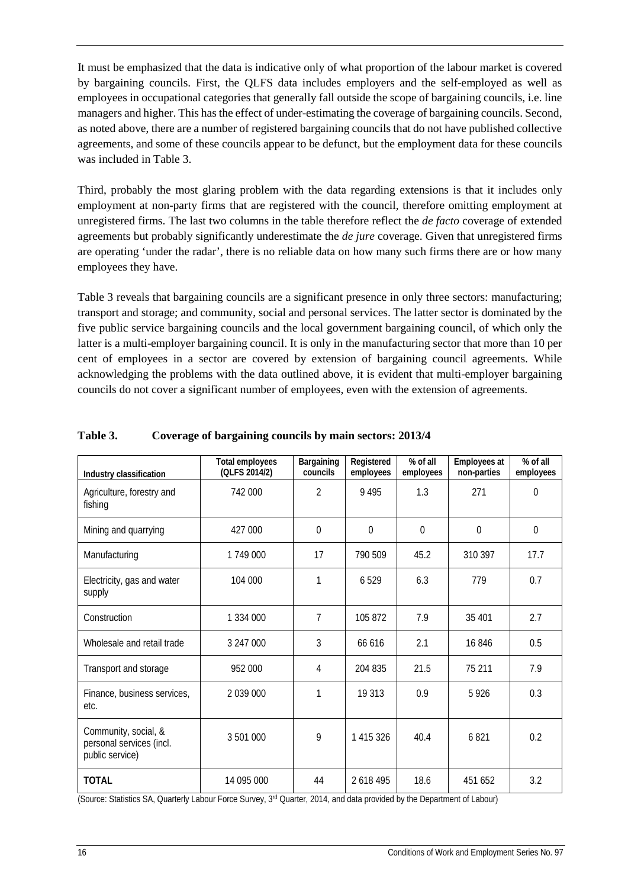It must be emphasized that the data is indicative only of what proportion of the labour market is covered by bargaining councils. First, the QLFS data includes employers and the self-employed as well as employees in occupational categories that generally fall outside the scope of bargaining councils, i.e. line managers and higher. This has the effect of under-estimating the coverage of bargaining councils. Second, as noted above, there are a number of registered bargaining councils that do not have published collective agreements, and some of these councils appear to be defunct, but the employment data for these councils was included in Table 3.

Third, probably the most glaring problem with the data regarding extensions is that it includes only employment at non-party firms that are registered with the council, therefore omitting employment at unregistered firms. The last two columns in the table therefore reflect the *de facto* coverage of extended agreements but probably significantly underestimate the *de jure* coverage. Given that unregistered firms are operating 'under the radar', there is no reliable data on how many such firms there are or how many employees they have.

Table 3 reveals that bargaining councils are a significant presence in only three sectors: manufacturing; transport and storage; and community, social and personal services. The latter sector is dominated by the five public service bargaining councils and the local government bargaining council, of which only the latter is a multi-employer bargaining council. It is only in the manufacturing sector that more than 10 per cent of employees in a sector are covered by extension of bargaining council agreements. While acknowledging the problems with the data outlined above, it is evident that multi-employer bargaining councils do not cover a significant number of employees, even with the extension of agreements.

| Industry classification                                             | <b>Total employees</b><br>(QLFS 2014/2) | Bargaining<br>councils | Registered<br>employees | % of all<br>employees | Employees at<br>non-parties | % of all<br>employees |
|---------------------------------------------------------------------|-----------------------------------------|------------------------|-------------------------|-----------------------|-----------------------------|-----------------------|
| Agriculture, forestry and<br>fishing                                | 742 000                                 | $\mathfrak{D}$         | 9495                    | 1.3                   | 271                         | $\Omega$              |
| Mining and quarrying                                                | 427 000                                 | $\theta$               | $\Omega$                | $\theta$              | $\theta$                    | $\overline{0}$        |
| Manufacturing                                                       | 1749000                                 | 17                     | 790 509                 | 45.2                  | 310 397                     | 17.7                  |
| Electricity, gas and water<br>supply                                | 104 000                                 | 1                      | 6529                    | 6.3                   | 779                         | 0.7                   |
| Construction                                                        | 1 334 000                               | $\overline{7}$         | 105 872                 | 7.9                   | 35 401                      | 2.7                   |
| Wholesale and retail trade                                          | 3 247 000                               | 3                      | 66 616                  | 2.1                   | 16846                       | 0.5                   |
| Transport and storage                                               | 952 000                                 | 4                      | 204 835                 | 21.5                  | 75 211                      | 7.9                   |
| Finance, business services,<br>etc.                                 | 2 039 000                               | 1                      | 19 313                  | 0.9                   | 5926                        | 0.3                   |
| Community, social, &<br>personal services (incl.<br>public service) | 3 501 000                               | 9                      | 1 415 326               | 40.4                  | 6821                        | 0.2                   |
| <b>TOTAL</b>                                                        | 14 095 000                              | 44                     | 2 618 495               | 18.6                  | 451 652                     | 3.2                   |

### **Table 3. Coverage of bargaining councils by main sectors: 2013/4**

(Source: Statistics SA, Quarterly Labour Force Survey, 3rd Quarter, 2014, and data provided by the Department of Labour)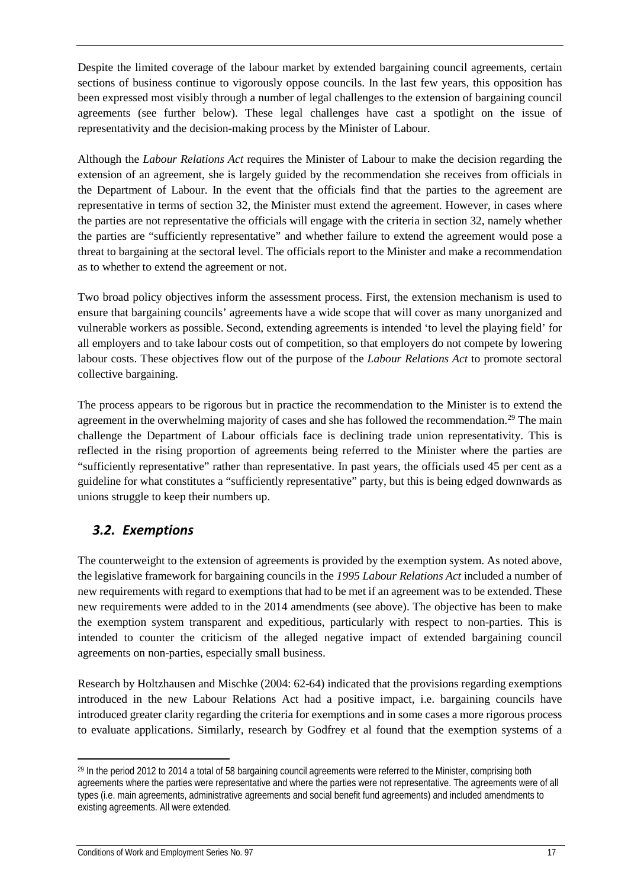Despite the limited coverage of the labour market by extended bargaining council agreements, certain sections of business continue to vigorously oppose councils. In the last few years, this opposition has been expressed most visibly through a number of legal challenges to the extension of bargaining council agreements (see further below). These legal challenges have cast a spotlight on the issue of representativity and the decision-making process by the Minister of Labour.

Although the *Labour Relations Act* requires the Minister of Labour to make the decision regarding the extension of an agreement, she is largely guided by the recommendation she receives from officials in the Department of Labour. In the event that the officials find that the parties to the agreement are representative in terms of section 32, the Minister must extend the agreement. However, in cases where the parties are not representative the officials will engage with the criteria in section 32, namely whether the parties are "sufficiently representative" and whether failure to extend the agreement would pose a threat to bargaining at the sectoral level. The officials report to the Minister and make a recommendation as to whether to extend the agreement or not.

Two broad policy objectives inform the assessment process. First, the extension mechanism is used to ensure that bargaining councils' agreements have a wide scope that will cover as many unorganized and vulnerable workers as possible. Second, extending agreements is intended 'to level the playing field' for all employers and to take labour costs out of competition, so that employers do not compete by lowering labour costs. These objectives flow out of the purpose of the *Labour Relations Act* to promote sectoral collective bargaining.

The process appears to be rigorous but in practice the recommendation to the Minister is to extend the agreement in the overwhelming majority of cases and she has followed the recommendation.<sup>[29](#page-21-1)</sup> The main challenge the Department of Labour officials face is declining trade union representativity. This is reflected in the rising proportion of agreements being referred to the Minister where the parties are "sufficiently representative" rather than representative. In past years, the officials used 45 per cent as a guideline for what constitutes a "sufficiently representative" party, but this is being edged downwards as unions struggle to keep their numbers up.

### <span id="page-21-0"></span>*3.2. Exemptions*

The counterweight to the extension of agreements is provided by the exemption system. As noted above, the legislative framework for bargaining councils in the *1995 Labour Relations Act* included a number of new requirements with regard to exemptions that had to be met if an agreement was to be extended. These new requirements were added to in the 2014 amendments (see above). The objective has been to make the exemption system transparent and expeditious, particularly with respect to non-parties. This is intended to counter the criticism of the alleged negative impact of extended bargaining council agreements on non-parties, especially small business.

Research by Holtzhausen and Mischke (2004: 62-64) indicated that the provisions regarding exemptions introduced in the new Labour Relations Act had a positive impact, i.e. bargaining councils have introduced greater clarity regarding the criteria for exemptions and in some cases a more rigorous process to evaluate applications. Similarly, research by Godfrey et al found that the exemption systems of a

<span id="page-21-1"></span><sup>&</sup>lt;sup>29</sup> In the period 2012 to 2014 a total of 58 bargaining council agreements were referred to the Minister, comprising both agreements where the parties were representative and where the parties were not representative. The agreements were of all types (i.e. main agreements, administrative agreements and social benefit fund agreements) and included amendments to existing agreements. All were extended.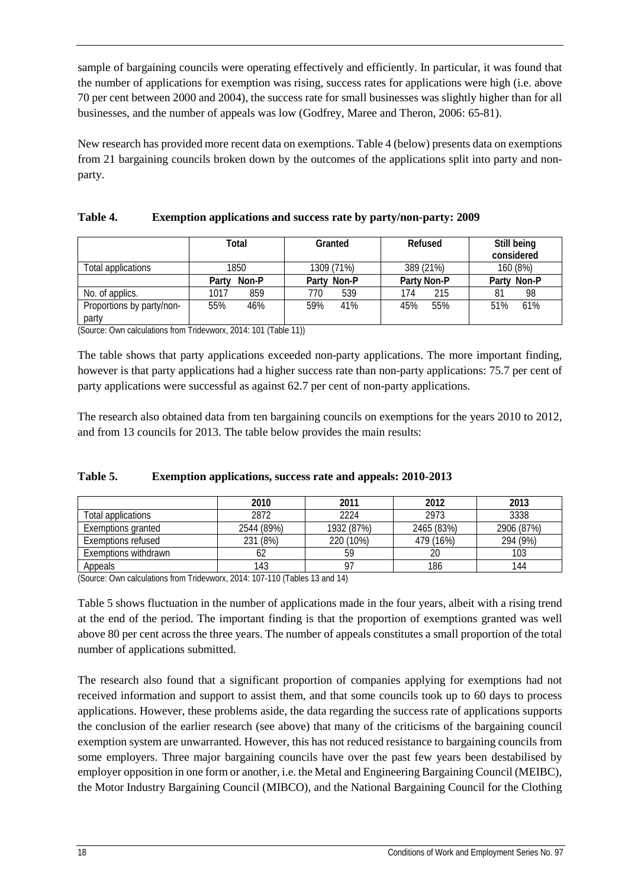sample of bargaining councils were operating effectively and efficiently. In particular, it was found that the number of applications for exemption was rising, success rates for applications were high (i.e. above 70 per cent between 2000 and 2004), the success rate for small businesses was slightly higher than for all businesses, and the number of appeals was low (Godfrey, Maree and Theron, 2006: 65-81).

New research has provided more recent data on exemptions. Table 4 (below) presents data on exemptions from 21 bargaining councils broken down by the outcomes of the applications split into party and nonparty.

|                                    | Total          | Granted     | Refused     | Still being<br>considered |  |
|------------------------------------|----------------|-------------|-------------|---------------------------|--|
| Total applications                 | 1850           | 1309 (71%)  | 389 (21%)   | 160 (8%)                  |  |
|                                    | Non-P<br>Party | Party Non-P | Party Non-P | Party Non-P               |  |
| No. of applics.                    | 859<br>1017    | 770<br>539  | 174<br>215  | 98<br>81                  |  |
| Proportions by party/non-<br>party | 55%<br>46%     | 41%<br>59%  | 55%<br>45%  | 61%<br>51%                |  |

| Exemption applications and success rate by party/non-party: 2009<br>Table 4. |  |
|------------------------------------------------------------------------------|--|
|------------------------------------------------------------------------------|--|

(Source: Own calculations from Tridevworx, 2014: 101 (Table 11))

The table shows that party applications exceeded non-party applications. The more important finding, however is that party applications had a higher success rate than non-party applications: 75.7 per cent of party applications were successful as against 62.7 per cent of non-party applications.

The research also obtained data from ten bargaining councils on exemptions for the years 2010 to 2012, and from 13 councils for 2013. The table below provides the main results:

|                      | 2010       | 2011       | 2012       | 2013       |
|----------------------|------------|------------|------------|------------|
| Total applications   | 2872       | 2224       | 2973       | 3338       |
| Exemptions granted   | 2544 (89%) | 1932 (87%) | 2465 (83%) | 2906 (87%) |
| Exemptions refused   | 231 (8%)   | 220 (10%)  | 479 (16%)  | 294 (9%)   |
| Exemptions withdrawn | 62         | 59         | 20         | 103        |
| Appeals              | 143        | 97         | 186        | 144        |

### **Table 5. Exemption applications, success rate and appeals: 2010-2013**

(Source: Own calculations from Tridevworx, 2014: 107-110 (Tables 13 and 14)

Table 5 shows fluctuation in the number of applications made in the four years, albeit with a rising trend at the end of the period. The important finding is that the proportion of exemptions granted was well above 80 per cent across the three years. The number of appeals constitutes a small proportion of the total number of applications submitted.

The research also found that a significant proportion of companies applying for exemptions had not received information and support to assist them, and that some councils took up to 60 days to process applications. However, these problems aside, the data regarding the success rate of applications supports the conclusion of the earlier research (see above) that many of the criticisms of the bargaining council exemption system are unwarranted. However, this has not reduced resistance to bargaining councils from some employers. Three major bargaining councils have over the past few years been destabilised by employer opposition in one form or another, i.e. the Metal and Engineering Bargaining Council (MEIBC), the Motor Industry Bargaining Council (MIBCO), and the National Bargaining Council for the Clothing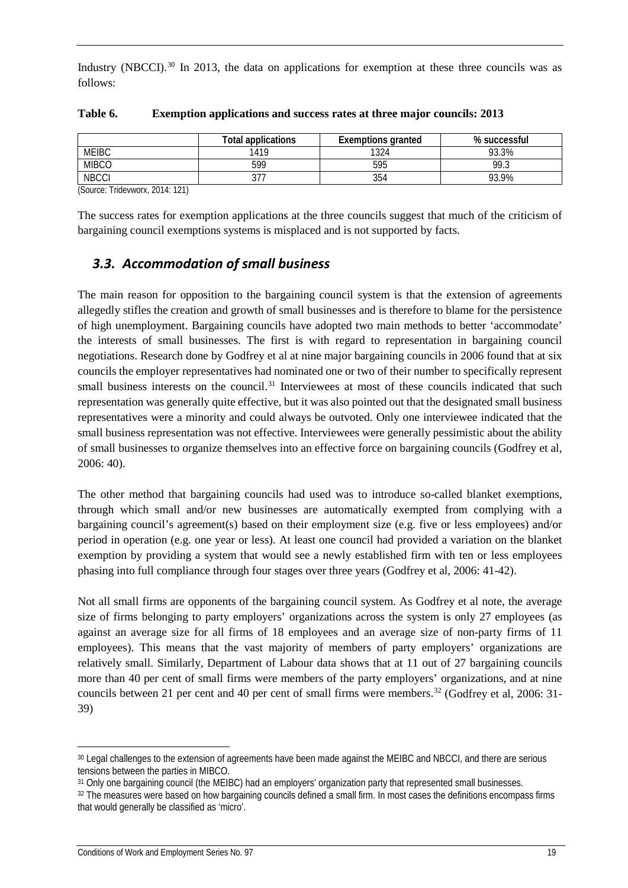Industry (NBCCI).<sup>[30](#page-23-1)</sup> In 2013, the data on applications for exemption at these three councils was as follows:

|                                                                                                                                                                                                                                                                                                                                                                                                                                                                                                                      | <b>Total applications</b> | <b>Exemptions granted</b> | % successful |
|----------------------------------------------------------------------------------------------------------------------------------------------------------------------------------------------------------------------------------------------------------------------------------------------------------------------------------------------------------------------------------------------------------------------------------------------------------------------------------------------------------------------|---------------------------|---------------------------|--------------|
| <b>MEIBC</b>                                                                                                                                                                                                                                                                                                                                                                                                                                                                                                         | 1419                      | 1324                      | 93.3%        |
| <b>MIBCO</b>                                                                                                                                                                                                                                                                                                                                                                                                                                                                                                         | 599                       | 595                       | 99.3         |
| <b>NBCCI</b>                                                                                                                                                                                                                                                                                                                                                                                                                                                                                                         | ، ں                       | 354                       | 93.9%        |
| $\sim$<br>$\begin{array}{ccccccccccccccccc} \multicolumn{4}{c}{} & \multicolumn{4}{c}{} & \multicolumn{4}{c}{} & \multicolumn{4}{c}{} & \multicolumn{4}{c}{} & \multicolumn{4}{c}{} & \multicolumn{4}{c}{} & \multicolumn{4}{c}{} & \multicolumn{4}{c}{} & \multicolumn{4}{c}{} & \multicolumn{4}{c}{} & \multicolumn{4}{c}{} & \multicolumn{4}{c}{} & \multicolumn{4}{c}{} & \multicolumn{4}{c}{} & \multicolumn{4}{c}{} & \multicolumn{4}{c}{} & \multicolumn{4}{c}{} & \multicolumn{4}{c}{} &$<br>$- \cdot \cdot$ |                           |                           |              |

### **Table 6. Exemption applications and success rates at three major councils: 2013**

(Source: Tridevworx, 2014: 121)

The success rates for exemption applications at the three councils suggest that much of the criticism of bargaining council exemptions systems is misplaced and is not supported by facts.

### <span id="page-23-0"></span>*3.3. Accommodation of small business*

The main reason for opposition to the bargaining council system is that the extension of agreements allegedly stifles the creation and growth of small businesses and is therefore to blame for the persistence of high unemployment. Bargaining councils have adopted two main methods to better 'accommodate' the interests of small businesses. The first is with regard to representation in bargaining council negotiations. Research done by Godfrey et al at nine major bargaining councils in 2006 found that at six councils the employer representatives had nominated one or two of their number to specifically represent small business interests on the council.<sup>[31](#page-23-2)</sup> Interviewees at most of these councils indicated that such representation was generally quite effective, but it was also pointed out that the designated small business representatives were a minority and could always be outvoted. Only one interviewee indicated that the small business representation was not effective. Interviewees were generally pessimistic about the ability of small businesses to organize themselves into an effective force on bargaining councils (Godfrey et al, 2006: 40).

The other method that bargaining councils had used was to introduce so-called blanket exemptions, through which small and/or new businesses are automatically exempted from complying with a bargaining council's agreement(s) based on their employment size (e.g. five or less employees) and/or period in operation (e.g. one year or less). At least one council had provided a variation on the blanket exemption by providing a system that would see a newly established firm with ten or less employees phasing into full compliance through four stages over three years (Godfrey et al, 2006: 41-42).

Not all small firms are opponents of the bargaining council system. As Godfrey et al note, the average size of firms belonging to party employers' organizations across the system is only 27 employees (as against an average size for all firms of 18 employees and an average size of non-party firms of 11 employees). This means that the vast majority of members of party employers' organizations are relatively small. Similarly, Department of Labour data shows that at 11 out of 27 bargaining councils more than 40 per cent of small firms were members of the party employers' organizations, and at nine councils between 21 per cent and 40 per cent of small firms were members.<sup>[32](#page-23-3)</sup> (Godfrey et al, 2006: 31-39)

<span id="page-23-1"></span><sup>30</sup> Legal challenges to the extension of agreements have been made against the MEIBC and NBCCI, and there are serious tensions between the parties in MIBCO.

<span id="page-23-2"></span><sup>31</sup> Only one bargaining council (the MEIBC) had an employers' organization party that represented small businesses.

<span id="page-23-3"></span><sup>32</sup> The measures were based on how bargaining councils defined a small firm. In most cases the definitions encompass firms that would generally be classified as 'micro'.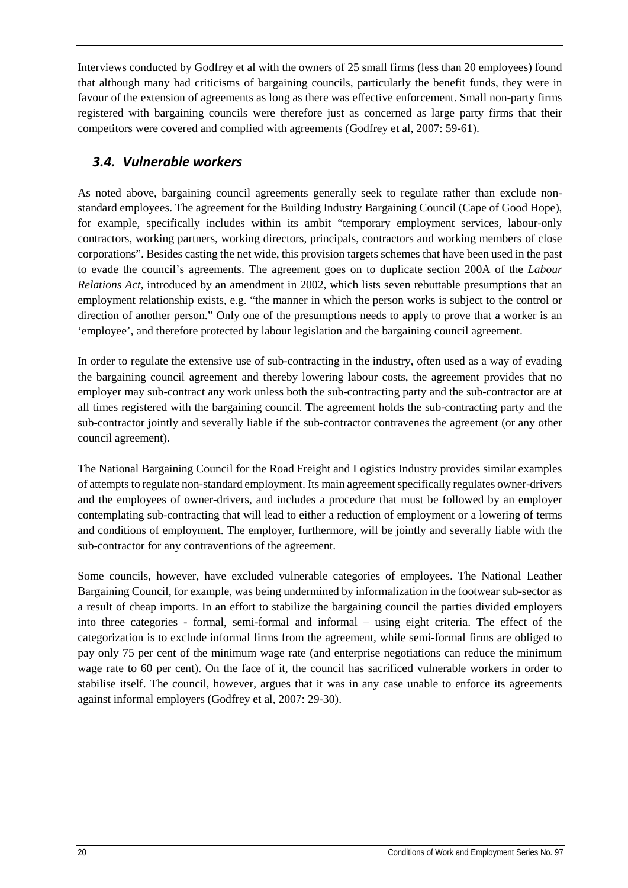Interviews conducted by Godfrey et al with the owners of 25 small firms (less than 20 employees) found that although many had criticisms of bargaining councils, particularly the benefit funds, they were in favour of the extension of agreements as long as there was effective enforcement. Small non-party firms registered with bargaining councils were therefore just as concerned as large party firms that their competitors were covered and complied with agreements (Godfrey et al*,* 2007: 59-61).

### <span id="page-24-0"></span>*3.4. Vulnerable workers*

As noted above, bargaining council agreements generally seek to regulate rather than exclude nonstandard employees. The agreement for the Building Industry Bargaining Council (Cape of Good Hope), for example, specifically includes within its ambit "temporary employment services, labour-only contractors, working partners, working directors, principals, contractors and working members of close corporations". Besides casting the net wide, this provision targets schemes that have been used in the past to evade the council's agreements. The agreement goes on to duplicate section 200A of the *Labour Relations Act*, introduced by an amendment in 2002, which lists seven rebuttable presumptions that an employment relationship exists, e.g. "the manner in which the person works is subject to the control or direction of another person." Only one of the presumptions needs to apply to prove that a worker is an 'employee', and therefore protected by labour legislation and the bargaining council agreement.

In order to regulate the extensive use of sub-contracting in the industry, often used as a way of evading the bargaining council agreement and thereby lowering labour costs, the agreement provides that no employer may sub-contract any work unless both the sub-contracting party and the sub-contractor are at all times registered with the bargaining council. The agreement holds the sub-contracting party and the sub-contractor jointly and severally liable if the sub-contractor contravenes the agreement (or any other council agreement).

The National Bargaining Council for the Road Freight and Logistics Industry provides similar examples of attempts to regulate non-standard employment. Its main agreement specifically regulates owner-drivers and the employees of owner-drivers, and includes a procedure that must be followed by an employer contemplating sub-contracting that will lead to either a reduction of employment or a lowering of terms and conditions of employment. The employer, furthermore, will be jointly and severally liable with the sub-contractor for any contraventions of the agreement.

Some councils, however, have excluded vulnerable categories of employees. The National Leather Bargaining Council, for example, was being undermined by informalization in the footwear sub-sector as a result of cheap imports. In an effort to stabilize the bargaining council the parties divided employers into three categories - formal, semi-formal and informal – using eight criteria. The effect of the categorization is to exclude informal firms from the agreement, while semi-formal firms are obliged to pay only 75 per cent of the minimum wage rate (and enterprise negotiations can reduce the minimum wage rate to 60 per cent). On the face of it, the council has sacrificed vulnerable workers in order to stabilise itself. The council, however, argues that it was in any case unable to enforce its agreements against informal employers (Godfrey et al, 2007: 29-30).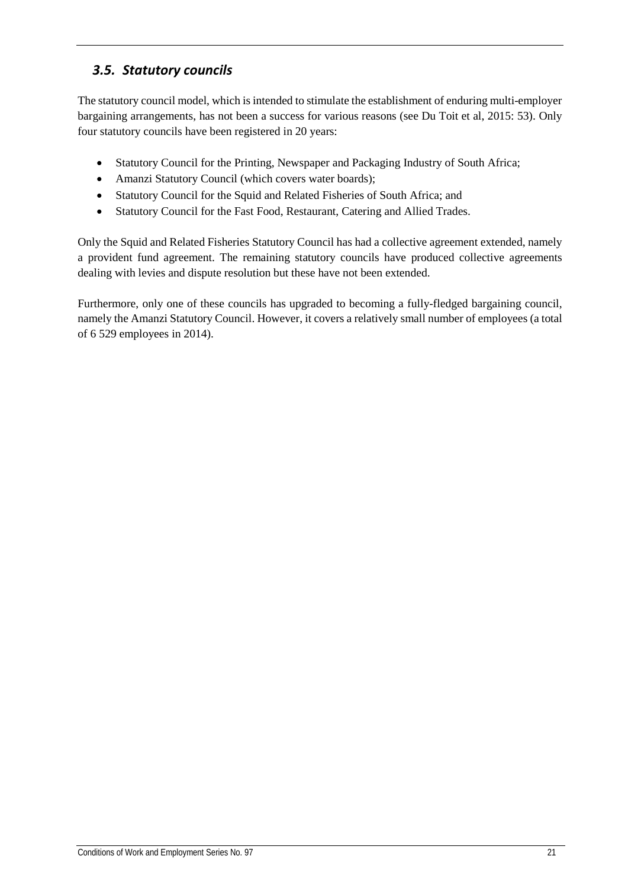## <span id="page-25-0"></span>*3.5. Statutory councils*

The statutory council model, which is intended to stimulate the establishment of enduring multi-employer bargaining arrangements, has not been a success for various reasons (see Du Toit et al, 2015: 53). Only four statutory councils have been registered in 20 years:

- Statutory Council for the Printing, Newspaper and Packaging Industry of South Africa;
- Amanzi Statutory Council (which covers water boards);
- Statutory Council for the Squid and Related Fisheries of South Africa; and
- Statutory Council for the Fast Food, Restaurant, Catering and Allied Trades.

Only the Squid and Related Fisheries Statutory Council has had a collective agreement extended, namely a provident fund agreement. The remaining statutory councils have produced collective agreements dealing with levies and dispute resolution but these have not been extended.

Furthermore, only one of these councils has upgraded to becoming a fully-fledged bargaining council, namely the Amanzi Statutory Council. However, it covers a relatively small number of employees (a total of 6 529 employees in 2014).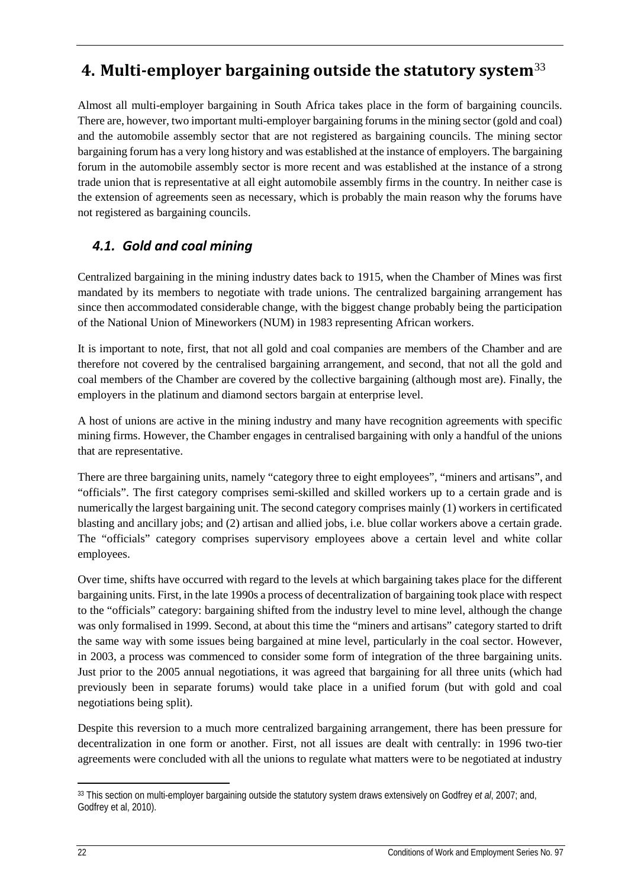## <span id="page-26-0"></span>**4. Multi-employer bargaining outside the statutory system**[33](#page-26-2)

Almost all multi-employer bargaining in South Africa takes place in the form of bargaining councils. There are, however, two important multi-employer bargaining forums in the mining sector (gold and coal) and the automobile assembly sector that are not registered as bargaining councils. The mining sector bargaining forum has a very long history and was established at the instance of employers. The bargaining forum in the automobile assembly sector is more recent and was established at the instance of a strong trade union that is representative at all eight automobile assembly firms in the country. In neither case is the extension of agreements seen as necessary, which is probably the main reason why the forums have not registered as bargaining councils.

## <span id="page-26-1"></span>*4.1. Gold and coal mining*

Centralized bargaining in the mining industry dates back to 1915, when the Chamber of Mines was first mandated by its members to negotiate with trade unions. The centralized bargaining arrangement has since then accommodated considerable change, with the biggest change probably being the participation of the National Union of Mineworkers (NUM) in 1983 representing African workers.

It is important to note, first, that not all gold and coal companies are members of the Chamber and are therefore not covered by the centralised bargaining arrangement, and second, that not all the gold and coal members of the Chamber are covered by the collective bargaining (although most are). Finally, the employers in the platinum and diamond sectors bargain at enterprise level.

A host of unions are active in the mining industry and many have recognition agreements with specific mining firms. However, the Chamber engages in centralised bargaining with only a handful of the unions that are representative.

There are three bargaining units, namely "category three to eight employees", "miners and artisans", and "officials". The first category comprises semi-skilled and skilled workers up to a certain grade and is numerically the largest bargaining unit. The second category comprises mainly (1) workers in certificated blasting and ancillary jobs; and (2) artisan and allied jobs, i.e. blue collar workers above a certain grade. The "officials" category comprises supervisory employees above a certain level and white collar employees.

Over time, shifts have occurred with regard to the levels at which bargaining takes place for the different bargaining units. First, in the late 1990s a process of decentralization of bargaining took place with respect to the "officials" category: bargaining shifted from the industry level to mine level, although the change was only formalised in 1999. Second, at about this time the "miners and artisans" category started to drift the same way with some issues being bargained at mine level, particularly in the coal sector. However, in 2003, a process was commenced to consider some form of integration of the three bargaining units. Just prior to the 2005 annual negotiations, it was agreed that bargaining for all three units (which had previously been in separate forums) would take place in a unified forum (but with gold and coal negotiations being split).

Despite this reversion to a much more centralized bargaining arrangement, there has been pressure for decentralization in one form or another. First, not all issues are dealt with centrally: in 1996 two-tier agreements were concluded with all the unions to regulate what matters were to be negotiated at industry

<span id="page-26-2"></span><sup>33</sup> This section on multi-employer bargaining outside the statutory system draws extensively on Godfrey *et al*, 2007; and, Godfrey et al, 2010).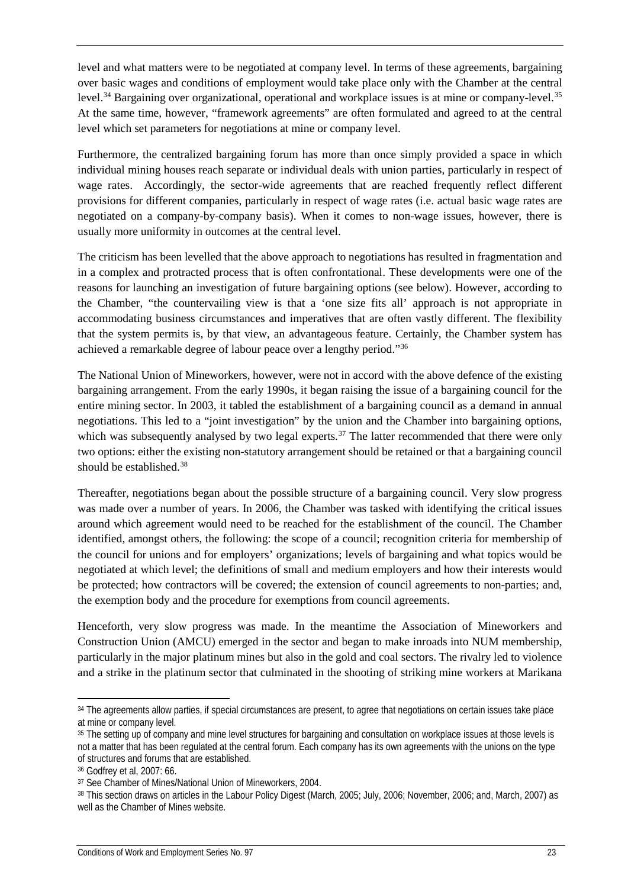level and what matters were to be negotiated at company level. In terms of these agreements, bargaining over basic wages and conditions of employment would take place only with the Chamber at the central level.<sup>[34](#page-27-0)</sup> Bargaining over organizational, operational and workplace issues is at mine or company-level.<sup>[35](#page-27-1)</sup> At the same time, however, "framework agreements" are often formulated and agreed to at the central level which set parameters for negotiations at mine or company level.

Furthermore, the centralized bargaining forum has more than once simply provided a space in which individual mining houses reach separate or individual deals with union parties, particularly in respect of wage rates. Accordingly, the sector-wide agreements that are reached frequently reflect different provisions for different companies, particularly in respect of wage rates (i.e. actual basic wage rates are negotiated on a company-by-company basis). When it comes to non-wage issues, however, there is usually more uniformity in outcomes at the central level.

The criticism has been levelled that the above approach to negotiations has resulted in fragmentation and in a complex and protracted process that is often confrontational. These developments were one of the reasons for launching an investigation of future bargaining options (see below). However, according to the Chamber, "the countervailing view is that a 'one size fits all' approach is not appropriate in accommodating business circumstances and imperatives that are often vastly different. The flexibility that the system permits is, by that view, an advantageous feature. Certainly, the Chamber system has achieved a remarkable degree of labour peace over a lengthy period."[36](#page-27-2) 

The National Union of Mineworkers, however, were not in accord with the above defence of the existing bargaining arrangement. From the early 1990s, it began raising the issue of a bargaining council for the entire mining sector. In 2003, it tabled the establishment of a bargaining council as a demand in annual negotiations. This led to a "joint investigation" by the union and the Chamber into bargaining options, which was subsequently analysed by two legal experts.<sup>[37](#page-27-3)</sup> The latter recommended that there were only two options: either the existing non-statutory arrangement should be retained or that a bargaining council should be established.<sup>38</sup>

Thereafter, negotiations began about the possible structure of a bargaining council. Very slow progress was made over a number of years. In 2006, the Chamber was tasked with identifying the critical issues around which agreement would need to be reached for the establishment of the council. The Chamber identified, amongst others, the following: the scope of a council; recognition criteria for membership of the council for unions and for employers' organizations; levels of bargaining and what topics would be negotiated at which level; the definitions of small and medium employers and how their interests would be protected; how contractors will be covered; the extension of council agreements to non-parties; and, the exemption body and the procedure for exemptions from council agreements.

Henceforth, very slow progress was made. In the meantime the Association of Mineworkers and Construction Union (AMCU) emerged in the sector and began to make inroads into NUM membership, particularly in the major platinum mines but also in the gold and coal sectors. The rivalry led to violence and a strike in the platinum sector that culminated in the shooting of striking mine workers at Marikana

<span id="page-27-0"></span><sup>&</sup>lt;sup>34</sup> The agreements allow parties, if special circumstances are present, to agree that negotiations on certain issues take place at mine or company level.

<span id="page-27-1"></span><sup>&</sup>lt;sup>35</sup> The setting up of company and mine level structures for bargaining and consultation on workplace issues at those levels is not a matter that has been regulated at the central forum. Each company has its own agreements with the unions on the type of structures and forums that are established.

<span id="page-27-2"></span><sup>36</sup> Godfrey et al, 2007: 66.

<span id="page-27-3"></span><sup>37</sup> See Chamber of Mines/National Union of Mineworkers, 2004.

<span id="page-27-4"></span><sup>38</sup> This section draws on articles in the Labour Policy Digest (March, 2005; July, 2006; November, 2006; and, March, 2007) as well as the Chamber of Mines website.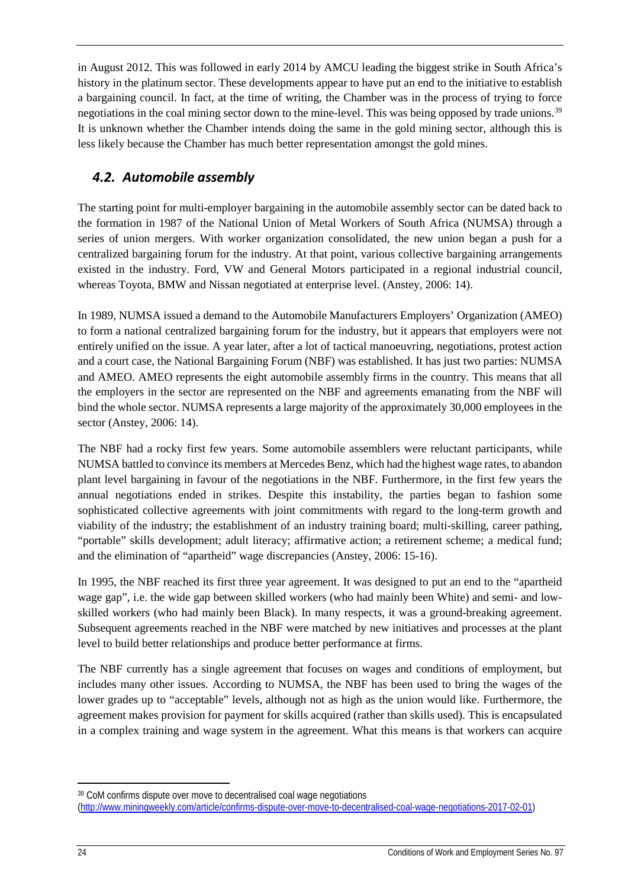in August 2012. This was followed in early 2014 by AMCU leading the biggest strike in South Africa's history in the platinum sector. These developments appear to have put an end to the initiative to establish a bargaining council. In fact, at the time of writing, the Chamber was in the process of trying to force negotiations in the coal mining sector down to the mine-level. This was being opposed by trade unions.<sup>[39](#page-28-1)</sup> It is unknown whether the Chamber intends doing the same in the gold mining sector, although this is less likely because the Chamber has much better representation amongst the gold mines.

## <span id="page-28-0"></span>*4.2. Automobile assembly*

The starting point for multi-employer bargaining in the automobile assembly sector can be dated back to the formation in 1987 of the National Union of Metal Workers of South Africa (NUMSA) through a series of union mergers. With worker organization consolidated, the new union began a push for a centralized bargaining forum for the industry. At that point, various collective bargaining arrangements existed in the industry. Ford, VW and General Motors participated in a regional industrial council, whereas Toyota, BMW and Nissan negotiated at enterprise level. (Anstey, 2006: 14).

In 1989, NUMSA issued a demand to the Automobile Manufacturers Employers' Organization (AMEO) to form a national centralized bargaining forum for the industry, but it appears that employers were not entirely unified on the issue. A year later, after a lot of tactical manoeuvring, negotiations, protest action and a court case, the National Bargaining Forum (NBF) was established. It has just two parties: NUMSA and AMEO. AMEO represents the eight automobile assembly firms in the country. This means that all the employers in the sector are represented on the NBF and agreements emanating from the NBF will bind the whole sector. NUMSA represents a large majority of the approximately 30,000 employees in the sector (Anstey, 2006: 14).

The NBF had a rocky first few years. Some automobile assemblers were reluctant participants, while NUMSA battled to convince its members at Mercedes Benz, which had the highest wage rates, to abandon plant level bargaining in favour of the negotiations in the NBF. Furthermore, in the first few years the annual negotiations ended in strikes. Despite this instability, the parties began to fashion some sophisticated collective agreements with joint commitments with regard to the long-term growth and viability of the industry; the establishment of an industry training board; multi-skilling, career pathing, "portable" skills development; adult literacy; affirmative action; a retirement scheme; a medical fund; and the elimination of "apartheid" wage discrepancies (Anstey, 2006: 15-16).

In 1995, the NBF reached its first three year agreement. It was designed to put an end to the "apartheid wage gap", i.e. the wide gap between skilled workers (who had mainly been White) and semi- and lowskilled workers (who had mainly been Black). In many respects, it was a ground-breaking agreement. Subsequent agreements reached in the NBF were matched by new initiatives and processes at the plant level to build better relationships and produce better performance at firms.

The NBF currently has a single agreement that focuses on wages and conditions of employment, but includes many other issues. According to NUMSA, the NBF has been used to bring the wages of the lower grades up to "acceptable" levels, although not as high as the union would like. Furthermore, the agreement makes provision for payment for skills acquired (rather than skills used). This is encapsulated in a complex training and wage system in the agreement. What this means is that workers can acquire

<span id="page-28-1"></span><sup>&</sup>lt;sup>39</sup> CoM confirms dispute over move to decentralised coal wage negotiations

[<sup>\(</sup>http://www.miningweekly.com/article/confirms-dispute-over-move-to-decentralised-coal-wage-negotiations-2017-02-01\)](http://www.miningweekly.com/article/confirms-dispute-over-move-to-decentralised-coal-wage-negotiations-2017-02-01)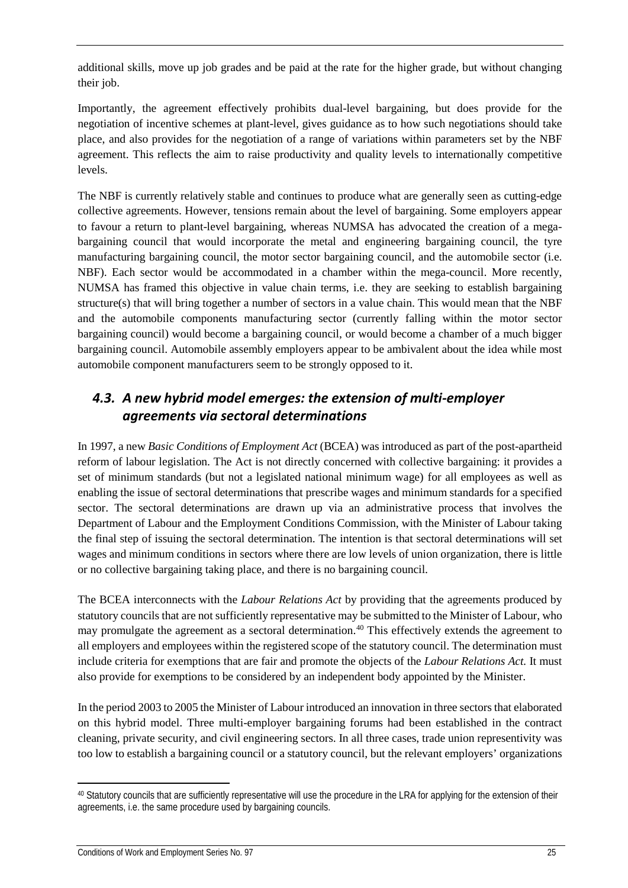additional skills, move up job grades and be paid at the rate for the higher grade, but without changing their job.

Importantly, the agreement effectively prohibits dual-level bargaining, but does provide for the negotiation of incentive schemes at plant-level, gives guidance as to how such negotiations should take place, and also provides for the negotiation of a range of variations within parameters set by the NBF agreement. This reflects the aim to raise productivity and quality levels to internationally competitive levels.

The NBF is currently relatively stable and continues to produce what are generally seen as cutting-edge collective agreements. However, tensions remain about the level of bargaining. Some employers appear to favour a return to plant-level bargaining, whereas NUMSA has advocated the creation of a megabargaining council that would incorporate the metal and engineering bargaining council, the tyre manufacturing bargaining council, the motor sector bargaining council, and the automobile sector (i.e. NBF). Each sector would be accommodated in a chamber within the mega-council. More recently, NUMSA has framed this objective in value chain terms, i.e. they are seeking to establish bargaining structure(s) that will bring together a number of sectors in a value chain. This would mean that the NBF and the automobile components manufacturing sector (currently falling within the motor sector bargaining council) would become a bargaining council, or would become a chamber of a much bigger bargaining council. Automobile assembly employers appear to be ambivalent about the idea while most automobile component manufacturers seem to be strongly opposed to it.

## <span id="page-29-0"></span>*4.3. A new hybrid model emerges: the extension of multi-employer agreements via sectoral determinations*

In 1997, a new *Basic Conditions of Employment Act* (BCEA) was introduced as part of the post-apartheid reform of labour legislation. The Act is not directly concerned with collective bargaining: it provides a set of minimum standards (but not a legislated national minimum wage) for all employees as well as enabling the issue of sectoral determinations that prescribe wages and minimum standards for a specified sector. The sectoral determinations are drawn up via an administrative process that involves the Department of Labour and the Employment Conditions Commission, with the Minister of Labour taking the final step of issuing the sectoral determination. The intention is that sectoral determinations will set wages and minimum conditions in sectors where there are low levels of union organization, there is little or no collective bargaining taking place, and there is no bargaining council.

The BCEA interconnects with the *Labour Relations Act* by providing that the agreements produced by statutory councils that are not sufficiently representative may be submitted to the Minister of Labour, who may promulgate the agreement as a sectoral determination.<sup>[40](#page-29-1)</sup> This effectively extends the agreement to all employers and employees within the registered scope of the statutory council. The determination must include criteria for exemptions that are fair and promote the objects of the *Labour Relations Act.* It must also provide for exemptions to be considered by an independent body appointed by the Minister.

In the period 2003 to 2005 the Minister of Labour introduced an innovation in three sectors that elaborated on this hybrid model. Three multi-employer bargaining forums had been established in the contract cleaning, private security, and civil engineering sectors. In all three cases, trade union representivity was too low to establish a bargaining council or a statutory council, but the relevant employers' organizations

<span id="page-29-1"></span><sup>40</sup> Statutory councils that are sufficiently representative will use the procedure in the LRA for applying for the extension of their agreements, i.e. the same procedure used by bargaining councils.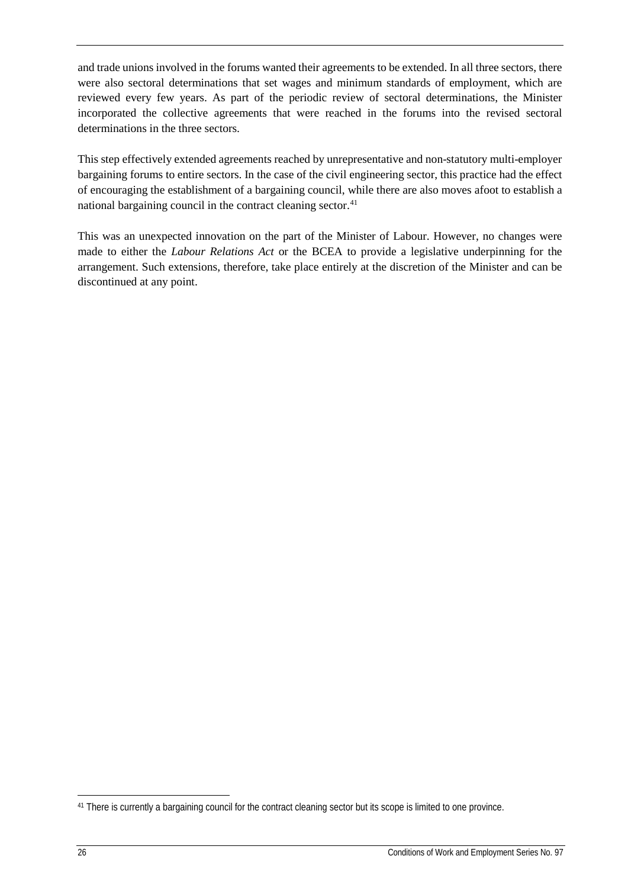and trade unions involved in the forums wanted their agreements to be extended. In all three sectors, there were also sectoral determinations that set wages and minimum standards of employment, which are reviewed every few years. As part of the periodic review of sectoral determinations, the Minister incorporated the collective agreements that were reached in the forums into the revised sectoral determinations in the three sectors.

This step effectively extended agreements reached by unrepresentative and non-statutory multi-employer bargaining forums to entire sectors. In the case of the civil engineering sector, this practice had the effect of encouraging the establishment of a bargaining council, while there are also moves afoot to establish a national bargaining council in the contract cleaning sector.<sup>[41](#page-30-0)</sup>

This was an unexpected innovation on the part of the Minister of Labour. However, no changes were made to either the *Labour Relations Act* or the BCEA to provide a legislative underpinning for the arrangement. Such extensions, therefore, take place entirely at the discretion of the Minister and can be discontinued at any point.

<span id="page-30-0"></span><sup>41</sup> There is currently a bargaining council for the contract cleaning sector but its scope is limited to one province.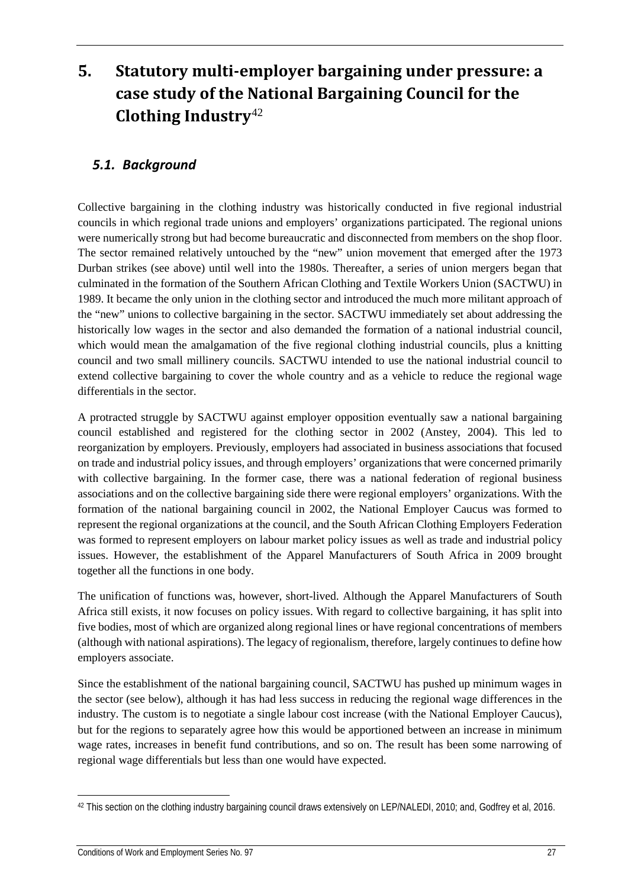# <span id="page-31-0"></span>**5. Statutory multi-employer bargaining under pressure: a case study of the National Bargaining Council for the Clothing Industry**[42](#page-31-2)

### <span id="page-31-1"></span>*5.1. Background*

Collective bargaining in the clothing industry was historically conducted in five regional industrial councils in which regional trade unions and employers' organizations participated. The regional unions were numerically strong but had become bureaucratic and disconnected from members on the shop floor. The sector remained relatively untouched by the "new" union movement that emerged after the 1973 Durban strikes (see above) until well into the 1980s. Thereafter, a series of union mergers began that culminated in the formation of the Southern African Clothing and Textile Workers Union (SACTWU) in 1989. It became the only union in the clothing sector and introduced the much more militant approach of the "new" unions to collective bargaining in the sector. SACTWU immediately set about addressing the historically low wages in the sector and also demanded the formation of a national industrial council, which would mean the amalgamation of the five regional clothing industrial councils, plus a knitting council and two small millinery councils. SACTWU intended to use the national industrial council to extend collective bargaining to cover the whole country and as a vehicle to reduce the regional wage differentials in the sector.

A protracted struggle by SACTWU against employer opposition eventually saw a national bargaining council established and registered for the clothing sector in 2002 (Anstey, 2004). This led to reorganization by employers. Previously, employers had associated in business associations that focused on trade and industrial policy issues, and through employers' organizations that were concerned primarily with collective bargaining. In the former case, there was a national federation of regional business associations and on the collective bargaining side there were regional employers' organizations. With the formation of the national bargaining council in 2002, the National Employer Caucus was formed to represent the regional organizations at the council, and the South African Clothing Employers Federation was formed to represent employers on labour market policy issues as well as trade and industrial policy issues. However, the establishment of the Apparel Manufacturers of South Africa in 2009 brought together all the functions in one body.

The unification of functions was, however, short-lived. Although the Apparel Manufacturers of South Africa still exists, it now focuses on policy issues. With regard to collective bargaining, it has split into five bodies, most of which are organized along regional lines or have regional concentrations of members (although with national aspirations). The legacy of regionalism, therefore, largely continues to define how employers associate.

Since the establishment of the national bargaining council, SACTWU has pushed up minimum wages in the sector (see below), although it has had less success in reducing the regional wage differences in the industry. The custom is to negotiate a single labour cost increase (with the National Employer Caucus), but for the regions to separately agree how this would be apportioned between an increase in minimum wage rates, increases in benefit fund contributions, and so on. The result has been some narrowing of regional wage differentials but less than one would have expected.

<span id="page-31-2"></span><sup>42</sup> This section on the clothing industry bargaining council draws extensively on LEP/NALEDI, 2010; and, Godfrey et al, 2016.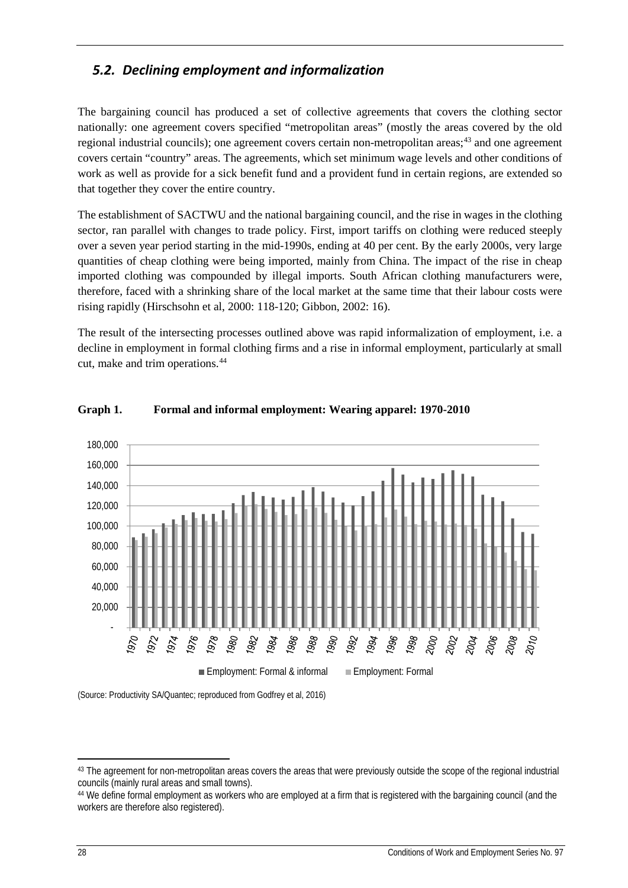## <span id="page-32-0"></span>*5.2. Declining employment and informalization*

The bargaining council has produced a set of collective agreements that covers the clothing sector nationally: one agreement covers specified "metropolitan areas" (mostly the areas covered by the old regional industrial councils); one agreement covers certain non-metropolitan areas;<sup>[43](#page-32-1)</sup> and one agreement covers certain "country" areas. The agreements, which set minimum wage levels and other conditions of work as well as provide for a sick benefit fund and a provident fund in certain regions, are extended so that together they cover the entire country.

The establishment of SACTWU and the national bargaining council, and the rise in wages in the clothing sector, ran parallel with changes to trade policy. First, import tariffs on clothing were reduced steeply over a seven year period starting in the mid-1990s, ending at 40 per cent. By the early 2000s, very large quantities of cheap clothing were being imported, mainly from China. The impact of the rise in cheap imported clothing was compounded by illegal imports. South African clothing manufacturers were, therefore, faced with a shrinking share of the local market at the same time that their labour costs were rising rapidly (Hirschsohn et al, 2000: 118-120; Gibbon, 2002: 16).

The result of the intersecting processes outlined above was rapid informalization of employment, i.e. a decline in employment in formal clothing firms and a rise in informal employment, particularly at small cut, make and trim operations.[44](#page-32-2)



### **Graph 1. Formal and informal employment: Wearing apparel: 1970-2010**

(Source: Productivity SA/Quantec; reproduced from Godfrey et al, 2016)

<span id="page-32-1"></span><sup>&</sup>lt;sup>43</sup> The agreement for non-metropolitan areas covers the areas that were previously outside the scope of the regional industrial councils (mainly rural areas and small towns).

<span id="page-32-2"></span><sup>44</sup> We define formal employment as workers who are employed at a firm that is registered with the bargaining council (and the workers are therefore also registered).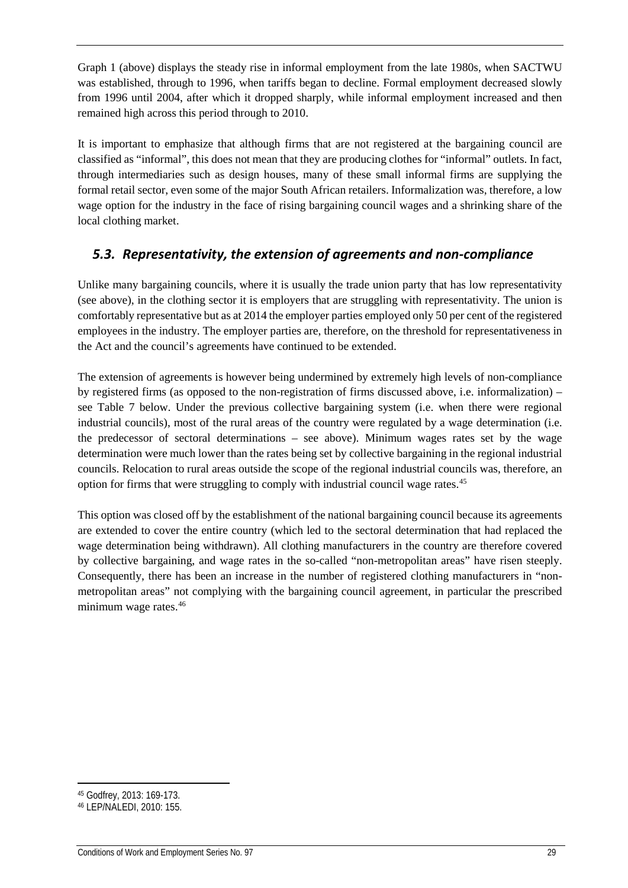Graph 1 (above) displays the steady rise in informal employment from the late 1980s, when SACTWU was established, through to 1996, when tariffs began to decline. Formal employment decreased slowly from 1996 until 2004, after which it dropped sharply, while informal employment increased and then remained high across this period through to 2010.

It is important to emphasize that although firms that are not registered at the bargaining council are classified as "informal", this does not mean that they are producing clothes for "informal" outlets. In fact, through intermediaries such as design houses, many of these small informal firms are supplying the formal retail sector, even some of the major South African retailers. Informalization was, therefore, a low wage option for the industry in the face of rising bargaining council wages and a shrinking share of the local clothing market.

## <span id="page-33-0"></span>*5.3. Representativity, the extension of agreements and non-compliance*

Unlike many bargaining councils, where it is usually the trade union party that has low representativity (see above), in the clothing sector it is employers that are struggling with representativity. The union is comfortably representative but as at 2014 the employer parties employed only 50 per cent of the registered employees in the industry. The employer parties are, therefore, on the threshold for representativeness in the Act and the council's agreements have continued to be extended.

The extension of agreements is however being undermined by extremely high levels of non-compliance by registered firms (as opposed to the non-registration of firms discussed above, i.e. informalization) – see Table 7 below. Under the previous collective bargaining system (i.e. when there were regional industrial councils), most of the rural areas of the country were regulated by a wage determination (i.e. the predecessor of sectoral determinations – see above). Minimum wages rates set by the wage determination were much lower than the rates being set by collective bargaining in the regional industrial councils. Relocation to rural areas outside the scope of the regional industrial councils was, therefore, an option for firms that were struggling to comply with industrial council wage rates.[45](#page-33-1) 

This option was closed off by the establishment of the national bargaining council because its agreements are extended to cover the entire country (which led to the sectoral determination that had replaced the wage determination being withdrawn). All clothing manufacturers in the country are therefore covered by collective bargaining, and wage rates in the so-called "non-metropolitan areas" have risen steeply. Consequently, there has been an increase in the number of registered clothing manufacturers in "nonmetropolitan areas" not complying with the bargaining council agreement, in particular the prescribed minimum wage rates.[46](#page-33-2)

<span id="page-33-1"></span><sup>45</sup> Godfrey, 2013: 169-173.

<span id="page-33-2"></span><sup>46</sup> LEP/NALEDI, 2010: 155.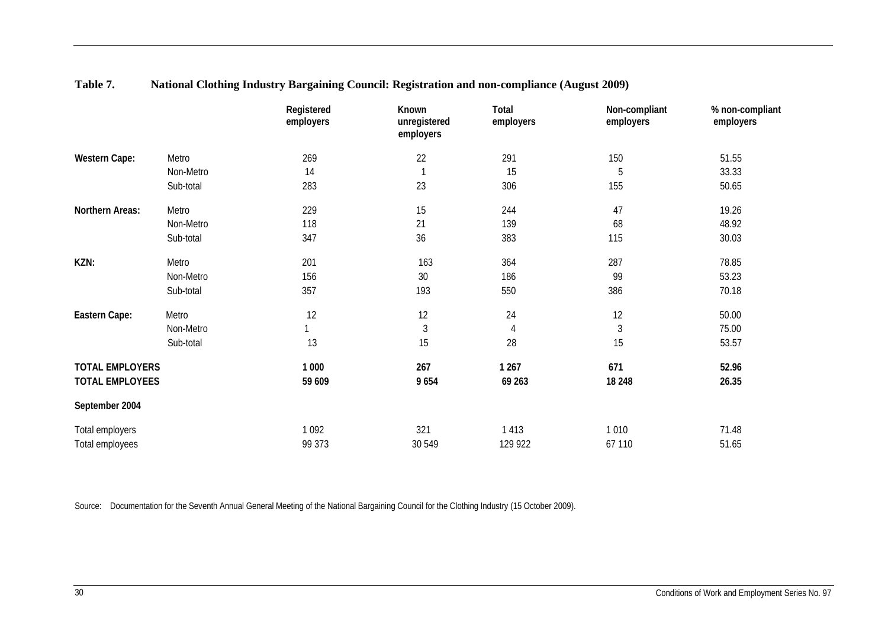|                        |           | Registered<br>employers | Known<br>unregistered<br>employers | Total<br>employers | Non-compliant<br>employers | % non-compliant<br>employers |
|------------------------|-----------|-------------------------|------------------------------------|--------------------|----------------------------|------------------------------|
| Western Cape:          | Metro     | 269                     | 22                                 | 291                | 150                        | 51.55                        |
|                        | Non-Metro | 14                      |                                    | 15                 | 5                          | 33.33                        |
|                        | Sub-total | 283                     | 23                                 | 306                | 155                        | 50.65                        |
| Northern Areas:        | Metro     | 229                     | 15                                 | 244                | 47                         | 19.26                        |
|                        | Non-Metro | 118                     | 21                                 | 139                | 68                         | 48.92                        |
|                        | Sub-total | 347                     | 36                                 | 383                | 115                        | 30.03                        |
| KZN:                   | Metro     | 201                     | 163                                | 364                | 287                        | 78.85                        |
|                        | Non-Metro | 156                     | 30                                 | 186                | 99                         | 53.23                        |
|                        | Sub-total | 357                     | 193                                | 550                | 386                        | 70.18                        |
| Eastern Cape:          | Metro     | 12                      | 12                                 | 24                 | 12                         | 50.00                        |
|                        | Non-Metro |                         | 3                                  | $\overline{4}$     | 3                          | 75.00                        |
|                        | Sub-total | 13                      | 15                                 | 28                 | 15                         | 53.57                        |
| <b>TOTAL EMPLOYERS</b> |           | 1 000                   | 267                                | 1 2 6 7            | 671                        | 52.96                        |
| <b>TOTAL EMPLOYEES</b> |           | 59 609                  | 9654                               | 69 263             | 18 248                     | 26.35                        |
| September 2004         |           |                         |                                    |                    |                            |                              |
| Total employers        |           | 1 0 9 2                 | 321                                | 1 4 1 3            | 1 0 1 0                    | 71.48                        |
| Total employees        |           | 99 373                  | 30 549                             | 129 922            | 67 110                     | 51.65                        |

### **Table 7. National Clothing Industry Bargaining Council: Registration and non-compliance (August 2009)**

Source: Documentation for the Seventh Annual General Meeting of the National Bargaining Council for the Clothing Industry (15 October 2009).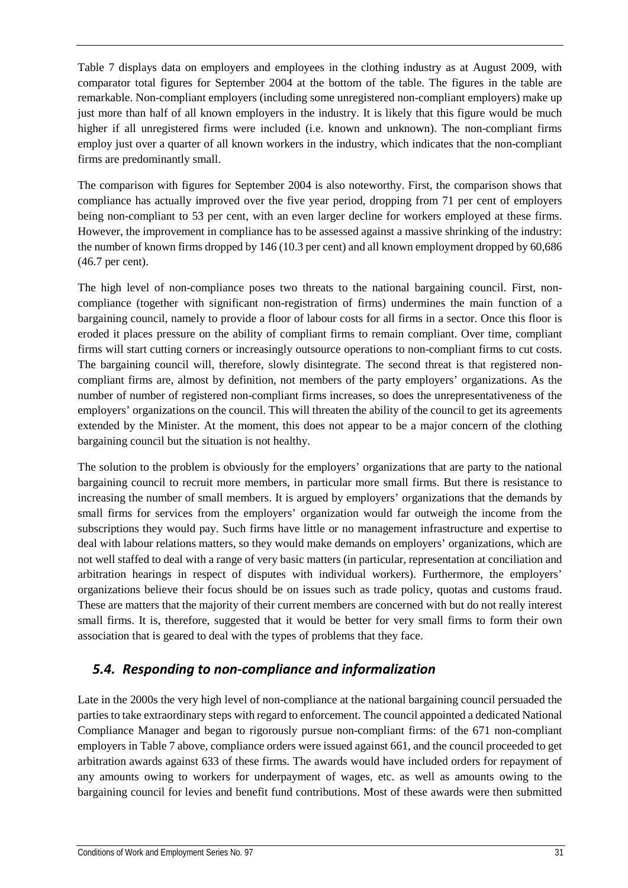Table 7 displays data on employers and employees in the clothing industry as at August 2009, with comparator total figures for September 2004 at the bottom of the table. The figures in the table are remarkable. Non-compliant employers (including some unregistered non-compliant employers) make up just more than half of all known employers in the industry. It is likely that this figure would be much higher if all unregistered firms were included (i.e. known and unknown). The non-compliant firms employ just over a quarter of all known workers in the industry, which indicates that the non-compliant firms are predominantly small.

The comparison with figures for September 2004 is also noteworthy. First, the comparison shows that compliance has actually improved over the five year period, dropping from 71 per cent of employers being non-compliant to 53 per cent, with an even larger decline for workers employed at these firms. However, the improvement in compliance has to be assessed against a massive shrinking of the industry: the number of known firms dropped by 146 (10.3 per cent) and all known employment dropped by 60,686 (46.7 per cent).

The high level of non-compliance poses two threats to the national bargaining council. First, noncompliance (together with significant non-registration of firms) undermines the main function of a bargaining council, namely to provide a floor of labour costs for all firms in a sector. Once this floor is eroded it places pressure on the ability of compliant firms to remain compliant. Over time, compliant firms will start cutting corners or increasingly outsource operations to non-compliant firms to cut costs. The bargaining council will, therefore, slowly disintegrate. The second threat is that registered noncompliant firms are, almost by definition, not members of the party employers' organizations. As the number of number of registered non-compliant firms increases, so does the unrepresentativeness of the employers' organizations on the council. This will threaten the ability of the council to get its agreements extended by the Minister. At the moment, this does not appear to be a major concern of the clothing bargaining council but the situation is not healthy.

The solution to the problem is obviously for the employers' organizations that are party to the national bargaining council to recruit more members, in particular more small firms. But there is resistance to increasing the number of small members. It is argued by employers' organizations that the demands by small firms for services from the employers' organization would far outweigh the income from the subscriptions they would pay. Such firms have little or no management infrastructure and expertise to deal with labour relations matters, so they would make demands on employers' organizations, which are not well staffed to deal with a range of very basic matters (in particular, representation at conciliation and arbitration hearings in respect of disputes with individual workers). Furthermore, the employers' organizations believe their focus should be on issues such as trade policy, quotas and customs fraud. These are matters that the majority of their current members are concerned with but do not really interest small firms. It is, therefore, suggested that it would be better for very small firms to form their own association that is geared to deal with the types of problems that they face.

### <span id="page-35-0"></span>*5.4. Responding to non-compliance and informalization*

Late in the 2000s the very high level of non-compliance at the national bargaining council persuaded the parties to take extraordinary steps with regard to enforcement. The council appointed a dedicated National Compliance Manager and began to rigorously pursue non-compliant firms: of the 671 non-compliant employers in Table 7 above, compliance orders were issued against 661, and the council proceeded to get arbitration awards against 633 of these firms. The awards would have included orders for repayment of any amounts owing to workers for underpayment of wages, etc. as well as amounts owing to the bargaining council for levies and benefit fund contributions. Most of these awards were then submitted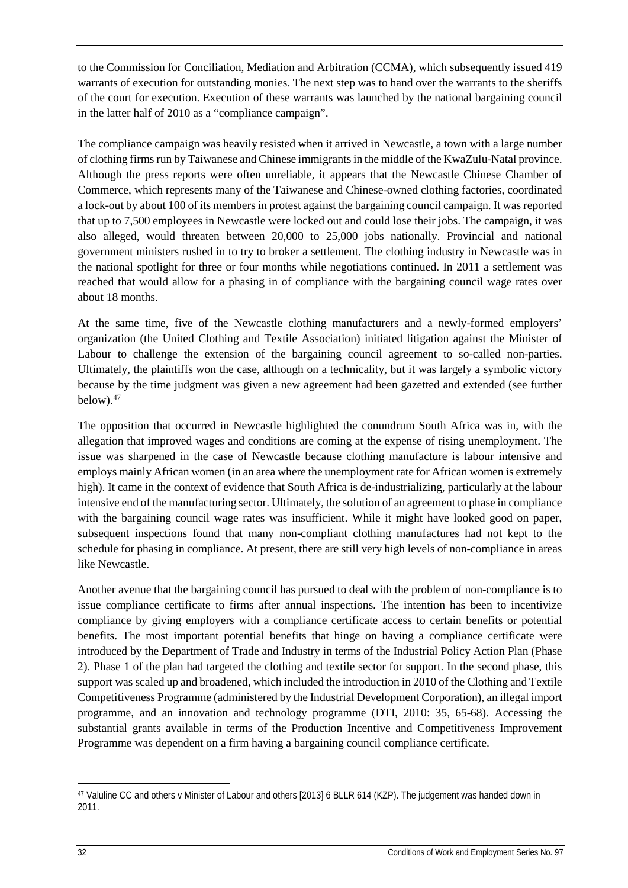to the Commission for Conciliation, Mediation and Arbitration (CCMA), which subsequently issued 419 warrants of execution for outstanding monies. The next step was to hand over the warrants to the sheriffs of the court for execution. Execution of these warrants was launched by the national bargaining council in the latter half of 2010 as a "compliance campaign".

The compliance campaign was heavily resisted when it arrived in Newcastle, a town with a large number of clothing firms run by Taiwanese and Chinese immigrants in the middle of the KwaZulu-Natal province. Although the press reports were often unreliable, it appears that the Newcastle Chinese Chamber of Commerce, which represents many of the Taiwanese and Chinese-owned clothing factories, coordinated a lock-out by about 100 of its members in protest against the bargaining council campaign. It was reported that up to 7,500 employees in Newcastle were locked out and could lose their jobs. The campaign, it was also alleged, would threaten between 20,000 to 25,000 jobs nationally. Provincial and national government ministers rushed in to try to broker a settlement. The clothing industry in Newcastle was in the national spotlight for three or four months while negotiations continued. In 2011 a settlement was reached that would allow for a phasing in of compliance with the bargaining council wage rates over about 18 months.

At the same time, five of the Newcastle clothing manufacturers and a newly-formed employers' organization (the United Clothing and Textile Association) initiated litigation against the Minister of Labour to challenge the extension of the bargaining council agreement to so-called non-parties. Ultimately, the plaintiffs won the case, although on a technicality, but it was largely a symbolic victory because by the time judgment was given a new agreement had been gazetted and extended (see further  $below).<sup>47</sup>$  $below).<sup>47</sup>$  $below).<sup>47</sup>$ 

The opposition that occurred in Newcastle highlighted the conundrum South Africa was in, with the allegation that improved wages and conditions are coming at the expense of rising unemployment. The issue was sharpened in the case of Newcastle because clothing manufacture is labour intensive and employs mainly African women (in an area where the unemployment rate for African women is extremely high). It came in the context of evidence that South Africa is de-industrializing, particularly at the labour intensive end of the manufacturing sector. Ultimately, the solution of an agreement to phase in compliance with the bargaining council wage rates was insufficient. While it might have looked good on paper, subsequent inspections found that many non-compliant clothing manufactures had not kept to the schedule for phasing in compliance. At present, there are still very high levels of non-compliance in areas like Newcastle.

Another avenue that the bargaining council has pursued to deal with the problem of non-compliance is to issue compliance certificate to firms after annual inspections. The intention has been to incentivize compliance by giving employers with a compliance certificate access to certain benefits or potential benefits. The most important potential benefits that hinge on having a compliance certificate were introduced by the Department of Trade and Industry in terms of the Industrial Policy Action Plan (Phase 2). Phase 1 of the plan had targeted the clothing and textile sector for support. In the second phase, this support was scaled up and broadened, which included the introduction in 2010 of the Clothing and Textile Competitiveness Programme (administered by the Industrial Development Corporation), an illegal import programme, and an innovation and technology programme (DTI, 2010: 35, 65-68). Accessing the substantial grants available in terms of the Production Incentive and Competitiveness Improvement Programme was dependent on a firm having a bargaining council compliance certificate.

<span id="page-36-0"></span><sup>47</sup> Valuline CC and others v Minister of Labour and others [2013] 6 BLLR 614 (KZP). The judgement was handed down in 2011.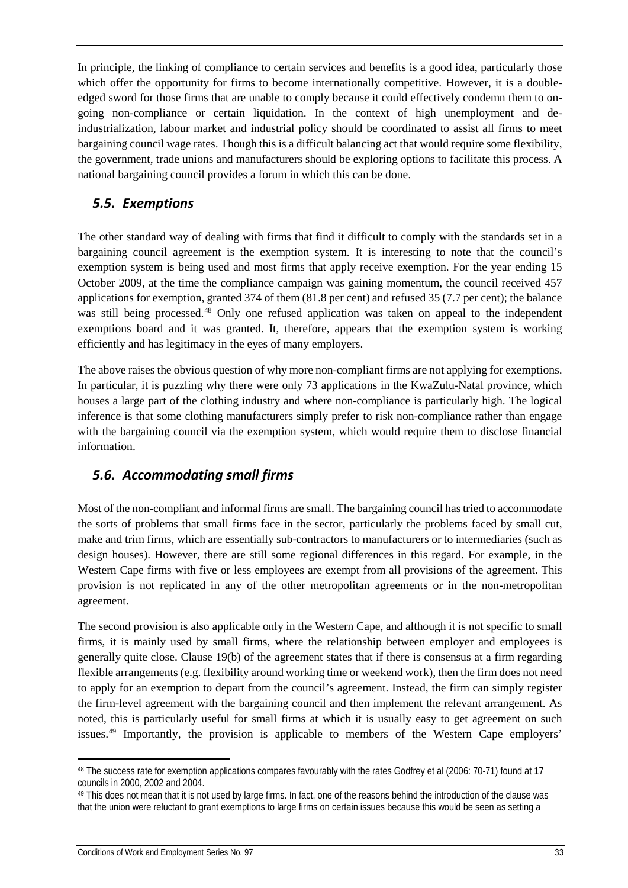In principle, the linking of compliance to certain services and benefits is a good idea, particularly those which offer the opportunity for firms to become internationally competitive. However, it is a doubleedged sword for those firms that are unable to comply because it could effectively condemn them to ongoing non-compliance or certain liquidation. In the context of high unemployment and deindustrialization, labour market and industrial policy should be coordinated to assist all firms to meet bargaining council wage rates. Though this is a difficult balancing act that would require some flexibility, the government, trade unions and manufacturers should be exploring options to facilitate this process. A national bargaining council provides a forum in which this can be done.

### <span id="page-37-0"></span>*5.5. Exemptions*

The other standard way of dealing with firms that find it difficult to comply with the standards set in a bargaining council agreement is the exemption system. It is interesting to note that the council's exemption system is being used and most firms that apply receive exemption. For the year ending 15 October 2009, at the time the compliance campaign was gaining momentum, the council received 457 applications for exemption, granted 374 of them (81.8 per cent) and refused 35 (7.7 per cent); the balance was still being processed.<sup>[48](#page-37-2)</sup> Only one refused application was taken on appeal to the independent exemptions board and it was granted. It, therefore, appears that the exemption system is working efficiently and has legitimacy in the eyes of many employers.

The above raises the obvious question of why more non-compliant firms are not applying for exemptions. In particular, it is puzzling why there were only 73 applications in the KwaZulu-Natal province, which houses a large part of the clothing industry and where non-compliance is particularly high. The logical inference is that some clothing manufacturers simply prefer to risk non-compliance rather than engage with the bargaining council via the exemption system, which would require them to disclose financial information.

## <span id="page-37-1"></span>*5.6. Accommodating small firms*

Most of the non-compliant and informal firms are small. The bargaining council has tried to accommodate the sorts of problems that small firms face in the sector, particularly the problems faced by small cut, make and trim firms, which are essentially sub-contractors to manufacturers or to intermediaries (such as design houses). However, there are still some regional differences in this regard. For example, in the Western Cape firms with five or less employees are exempt from all provisions of the agreement. This provision is not replicated in any of the other metropolitan agreements or in the non-metropolitan agreement.

The second provision is also applicable only in the Western Cape, and although it is not specific to small firms, it is mainly used by small firms, where the relationship between employer and employees is generally quite close. Clause 19(b) of the agreement states that if there is consensus at a firm regarding flexible arrangements (e.g. flexibility around working time or weekend work), then the firm does not need to apply for an exemption to depart from the council's agreement. Instead, the firm can simply register the firm-level agreement with the bargaining council and then implement the relevant arrangement. As noted, this is particularly useful for small firms at which it is usually easy to get agreement on such issues.<sup>[49](#page-37-3)</sup> Importantly, the provision is applicable to members of the Western Cape employers'

<span id="page-37-2"></span>l <sup>48</sup> The success rate for exemption applications compares favourably with the rates Godfrey et al (2006: 70-71) found at 17 councils in 2000, 2002 and 2004.

<span id="page-37-3"></span><sup>&</sup>lt;sup>49</sup> This does not mean that it is not used by large firms. In fact, one of the reasons behind the introduction of the clause was that the union were reluctant to grant exemptions to large firms on certain issues because this would be seen as setting a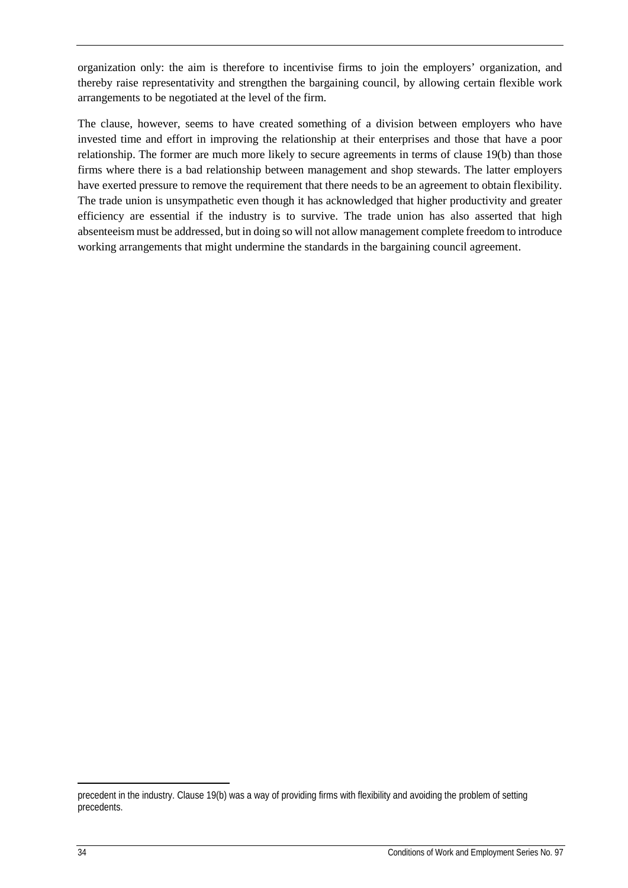organization only: the aim is therefore to incentivise firms to join the employers' organization, and thereby raise representativity and strengthen the bargaining council, by allowing certain flexible work arrangements to be negotiated at the level of the firm.

The clause, however, seems to have created something of a division between employers who have invested time and effort in improving the relationship at their enterprises and those that have a poor relationship. The former are much more likely to secure agreements in terms of clause 19(b) than those firms where there is a bad relationship between management and shop stewards. The latter employers have exerted pressure to remove the requirement that there needs to be an agreement to obtain flexibility. The trade union is unsympathetic even though it has acknowledged that higher productivity and greater efficiency are essential if the industry is to survive. The trade union has also asserted that high absenteeism must be addressed, but in doing so will not allow management complete freedom to introduce working arrangements that might undermine the standards in the bargaining council agreement.

precedent in the industry. Clause 19(b) was a way of providing firms with flexibility and avoiding the problem of setting precedents.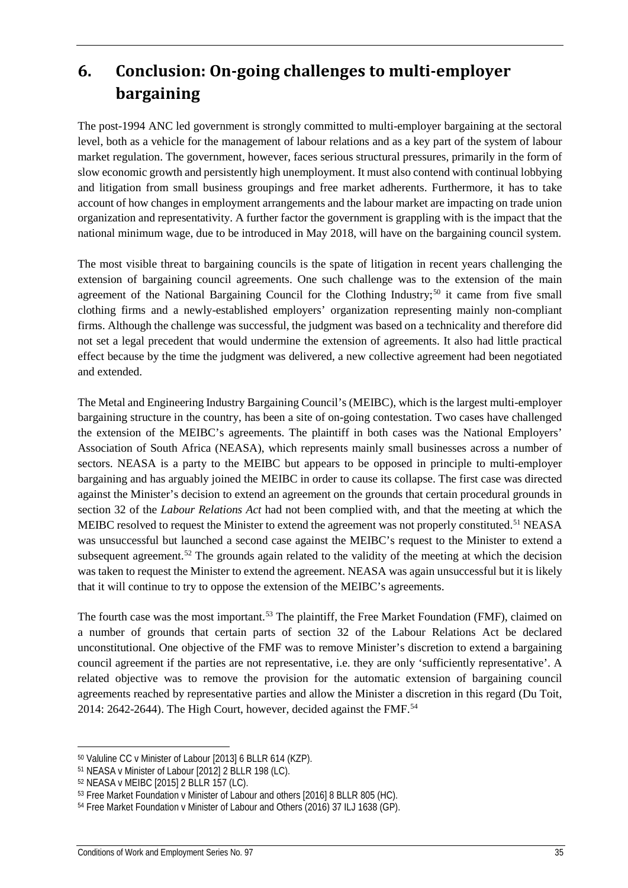## <span id="page-39-0"></span>**6. Conclusion: On-going challenges to multi-employer bargaining**

The post-1994 ANC led government is strongly committed to multi-employer bargaining at the sectoral level, both as a vehicle for the management of labour relations and as a key part of the system of labour market regulation. The government, however, faces serious structural pressures, primarily in the form of slow economic growth and persistently high unemployment. It must also contend with continual lobbying and litigation from small business groupings and free market adherents. Furthermore, it has to take account of how changes in employment arrangements and the labour market are impacting on trade union organization and representativity. A further factor the government is grappling with is the impact that the national minimum wage, due to be introduced in May 2018, will have on the bargaining council system.

The most visible threat to bargaining councils is the spate of litigation in recent years challenging the extension of bargaining council agreements. One such challenge was to the extension of the main agreement of the National Bargaining Council for the Clothing Industry;<sup>[50](#page-39-1)</sup> it came from five small clothing firms and a newly-established employers' organization representing mainly non-compliant firms. Although the challenge was successful, the judgment was based on a technicality and therefore did not set a legal precedent that would undermine the extension of agreements. It also had little practical effect because by the time the judgment was delivered, a new collective agreement had been negotiated and extended.

The Metal and Engineering Industry Bargaining Council's (MEIBC), which is the largest multi-employer bargaining structure in the country, has been a site of on-going contestation. Two cases have challenged the extension of the MEIBC's agreements. The plaintiff in both cases was the National Employers' Association of South Africa (NEASA), which represents mainly small businesses across a number of sectors. NEASA is a party to the MEIBC but appears to be opposed in principle to multi-employer bargaining and has arguably joined the MEIBC in order to cause its collapse. The first case was directed against the Minister's decision to extend an agreement on the grounds that certain procedural grounds in section 32 of the *Labour Relations Act* had not been complied with, and that the meeting at which the MEIBC resolved to request the Minister to extend the agreement was not properly constituted.<sup>[51](#page-39-2)</sup> NEASA was unsuccessful but launched a second case against the MEIBC's request to the Minister to extend a subsequent agreement.<sup>[52](#page-39-3)</sup> The grounds again related to the validity of the meeting at which the decision was taken to request the Minister to extend the agreement. NEASA was again unsuccessful but it is likely that it will continue to try to oppose the extension of the MEIBC's agreements.

The fourth case was the most important.<sup>[53](#page-39-4)</sup> The plaintiff, the Free Market Foundation (FMF), claimed on a number of grounds that certain parts of section 32 of the Labour Relations Act be declared unconstitutional. One objective of the FMF was to remove Minister's discretion to extend a bargaining council agreement if the parties are not representative, i.e. they are only 'sufficiently representative'. A related objective was to remove the provision for the automatic extension of bargaining council agreements reached by representative parties and allow the Minister a discretion in this regard (Du Toit, 2014: 2642-2644). The High Court, however, decided against the FMF.<sup>[54](#page-39-5)</sup>

<span id="page-39-1"></span><sup>50</sup> Valuline CC v Minister of Labour [2013] 6 BLLR 614 (KZP).

<span id="page-39-2"></span><sup>51</sup> NEASA v Minister of Labour [2012] 2 BLLR 198 (LC).

<span id="page-39-3"></span><sup>52</sup> NEASA v MEIBC [2015] 2 BLLR 157 (LC).

<span id="page-39-4"></span><sup>53</sup> Free Market Foundation v Minister of Labour and others [2016] 8 BLLR 805 (HC).

<span id="page-39-5"></span><sup>54</sup> Free Market Foundation v Minister of Labour and Others (2016) 37 ILJ 1638 (GP).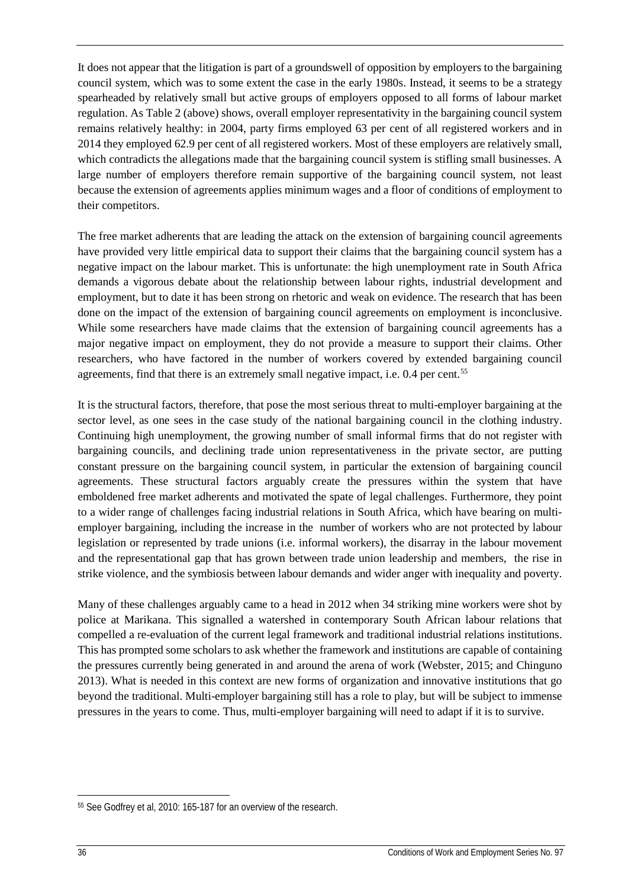It does not appear that the litigation is part of a groundswell of opposition by employers to the bargaining council system, which was to some extent the case in the early 1980s. Instead, it seems to be a strategy spearheaded by relatively small but active groups of employers opposed to all forms of labour market regulation. As Table 2 (above) shows, overall employer representativity in the bargaining council system remains relatively healthy: in 2004, party firms employed 63 per cent of all registered workers and in 2014 they employed 62.9 per cent of all registered workers. Most of these employers are relatively small, which contradicts the allegations made that the bargaining council system is stifling small businesses. A large number of employers therefore remain supportive of the bargaining council system, not least because the extension of agreements applies minimum wages and a floor of conditions of employment to their competitors.

The free market adherents that are leading the attack on the extension of bargaining council agreements have provided very little empirical data to support their claims that the bargaining council system has a negative impact on the labour market. This is unfortunate: the high unemployment rate in South Africa demands a vigorous debate about the relationship between labour rights, industrial development and employment, but to date it has been strong on rhetoric and weak on evidence. The research that has been done on the impact of the extension of bargaining council agreements on employment is inconclusive. While some researchers have made claims that the extension of bargaining council agreements has a major negative impact on employment, they do not provide a measure to support their claims. Other researchers, who have factored in the number of workers covered by extended bargaining council agreements, find that there is an extremely small negative impact, i.e. 0.4 per cent.<sup>[55](#page-40-0)</sup>

It is the structural factors, therefore, that pose the most serious threat to multi-employer bargaining at the sector level, as one sees in the case study of the national bargaining council in the clothing industry. Continuing high unemployment, the growing number of small informal firms that do not register with bargaining councils, and declining trade union representativeness in the private sector, are putting constant pressure on the bargaining council system, in particular the extension of bargaining council agreements. These structural factors arguably create the pressures within the system that have emboldened free market adherents and motivated the spate of legal challenges. Furthermore, they point to a wider range of challenges facing industrial relations in South Africa, which have bearing on multiemployer bargaining, including the increase in the number of workers who are not protected by labour legislation or represented by trade unions (i.e. informal workers), the disarray in the labour movement and the representational gap that has grown between trade union leadership and members, the rise in strike violence, and the symbiosis between labour demands and wider anger with inequality and poverty.

Many of these challenges arguably came to a head in 2012 when 34 striking mine workers were shot by police at Marikana. This signalled a watershed in contemporary South African labour relations that compelled a re-evaluation of the current legal framework and traditional industrial relations institutions. This has prompted some scholars to ask whether the framework and institutions are capable of containing the pressures currently being generated in and around the arena of work (Webster, 2015; and Chinguno 2013). What is needed in this context are new forms of organization and innovative institutions that go beyond the traditional. Multi-employer bargaining still has a role to play, but will be subject to immense pressures in the years to come. Thus, multi-employer bargaining will need to adapt if it is to survive.

<span id="page-40-0"></span><sup>55</sup> See Godfrey et al, 2010: 165-187 for an overview of the research.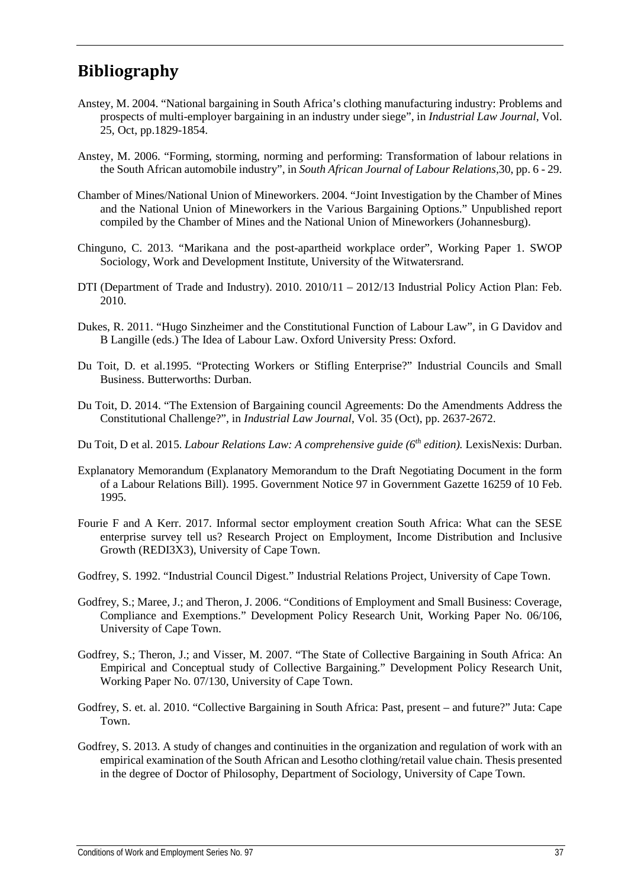## <span id="page-41-0"></span>**Bibliography**

- Anstey, M. 2004. "National bargaining in South Africa's clothing manufacturing industry: Problems and prospects of multi-employer bargaining in an industry under siege", in *Industrial Law Journal*, Vol. 25, Oct, pp.1829-1854.
- Anstey, M. 2006. "Forming, storming, norming and performing: Transformation of labour relations in the South African automobile industry", in *South African Journal of Labour Relations,*30, pp. 6 - 29.
- Chamber of Mines/National Union of Mineworkers. 2004. "Joint Investigation by the Chamber of Mines and the National Union of Mineworkers in the Various Bargaining Options." Unpublished report compiled by the Chamber of Mines and the National Union of Mineworkers (Johannesburg).
- Chinguno, C. 2013. "Marikana and the post-apartheid workplace order", Working Paper 1. SWOP Sociology, Work and Development Institute, University of the Witwatersrand.
- DTI (Department of Trade and Industry). 2010. 2010/11 2012/13 Industrial Policy Action Plan: Feb. 2010.
- Dukes, R. 2011. "Hugo Sinzheimer and the Constitutional Function of Labour Law", in G Davidov and B Langille (eds.) The Idea of Labour Law. Oxford University Press: Oxford.
- Du Toit, D. et al.1995. "Protecting Workers or Stifling Enterprise?" Industrial Councils and Small Business. Butterworths: Durban.
- Du Toit, D. 2014. "The Extension of Bargaining council Agreements: Do the Amendments Address the Constitutional Challenge?", in *Industrial Law Journal*, Vol. 35 (Oct), pp. 2637-2672.
- Du Toit, D et al. 2015. *Labour Relations Law: A comprehensive guide (6th edition).* LexisNexis: Durban.
- Explanatory Memorandum (Explanatory Memorandum to the Draft Negotiating Document in the form of a Labour Relations Bill). 1995. Government Notice 97 in Government Gazette 16259 of 10 Feb. 1995.
- Fourie F and A Kerr. 2017. Informal sector employment creation South Africa: What can the SESE enterprise survey tell us? Research Project on Employment, Income Distribution and Inclusive Growth (REDI3X3), University of Cape Town.
- Godfrey, S. 1992. "Industrial Council Digest." Industrial Relations Project, University of Cape Town.
- Godfrey, S.; Maree, J.; and Theron, J. 2006. "Conditions of Employment and Small Business: Coverage, Compliance and Exemptions." Development Policy Research Unit, Working Paper No. 06/106, University of Cape Town.
- Godfrey, S.; Theron, J.; and Visser, M. 2007. "The State of Collective Bargaining in South Africa: An Empirical and Conceptual study of Collective Bargaining." Development Policy Research Unit, Working Paper No. 07/130, University of Cape Town.
- Godfrey, S. et. al. 2010. "Collective Bargaining in South Africa: Past, present and future?" Juta: Cape Town.
- Godfrey, S. 2013. A study of changes and continuities in the organization and regulation of work with an empirical examination of the South African and Lesotho clothing/retail value chain. Thesis presented in the degree of Doctor of Philosophy, Department of Sociology, University of Cape Town.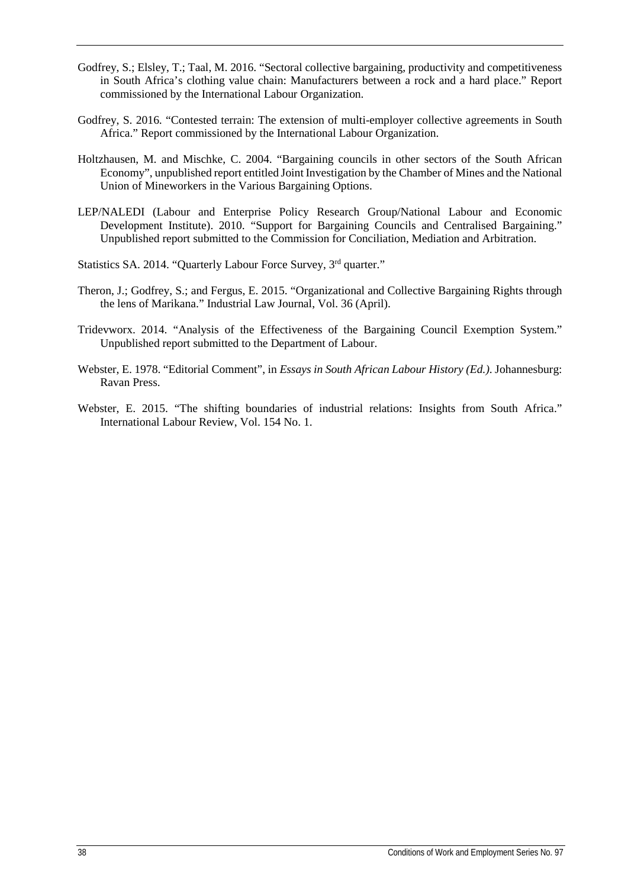- Godfrey, S.; Elsley, T.; Taal, M. 2016. "Sectoral collective bargaining, productivity and competitiveness in South Africa's clothing value chain: Manufacturers between a rock and a hard place." Report commissioned by the International Labour Organization.
- Godfrey, S. 2016. "Contested terrain: The extension of multi-employer collective agreements in South Africa." Report commissioned by the International Labour Organization.
- Holtzhausen, M. and Mischke, C. 2004. "Bargaining councils in other sectors of the South African Economy", unpublished report entitled Joint Investigation by the Chamber of Mines and the National Union of Mineworkers in the Various Bargaining Options.
- LEP/NALEDI (Labour and Enterprise Policy Research Group/National Labour and Economic Development Institute). 2010. "Support for Bargaining Councils and Centralised Bargaining." Unpublished report submitted to the Commission for Conciliation, Mediation and Arbitration.
- Statistics SA. 2014. "Quarterly Labour Force Survey, 3<sup>rd</sup> quarter."
- Theron, J.; Godfrey, S.; and Fergus, E. 2015. "Organizational and Collective Bargaining Rights through the lens of Marikana." Industrial Law Journal, Vol. 36 (April).
- Tridevworx. 2014. "Analysis of the Effectiveness of the Bargaining Council Exemption System." Unpublished report submitted to the Department of Labour.
- Webster, E. 1978. "Editorial Comment", in *Essays in South African Labour History (Ed.)*. Johannesburg: Ravan Press.
- Webster, E. 2015. "The shifting boundaries of industrial relations: Insights from South Africa." International Labour Review, Vol. 154 No. 1.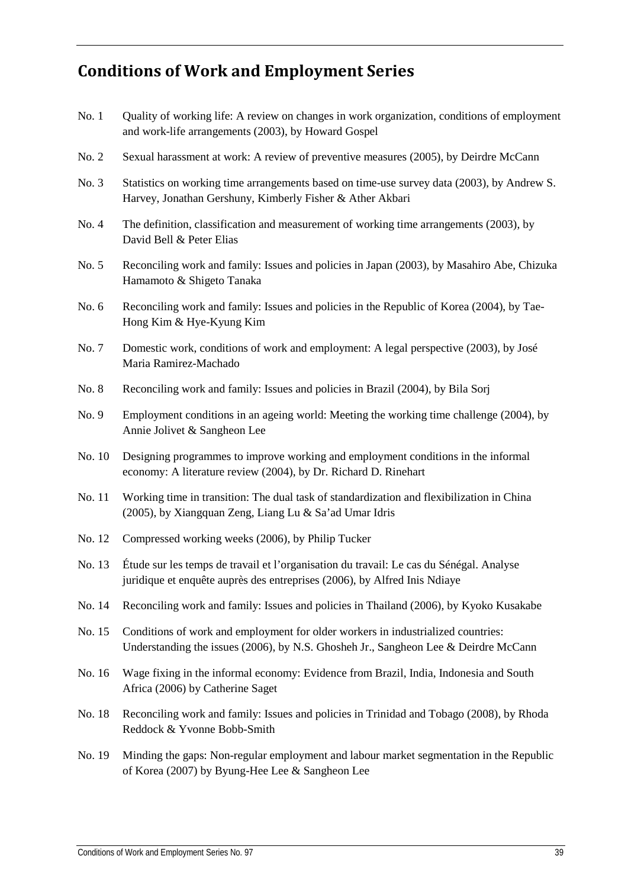## <span id="page-43-0"></span>**Conditions of Work and Employment Series**

- No. 1 Cuality of working life: A review on changes in work organization, conditions of employment and work-life arrangements (2003), by Howard Gospel
- No. 2 Sexual harassment at work: A review of preventive measures (2005), by Deirdre McCann
- No. 3 Statistics on working time arrangements based on time-use survey data (2003), by Andrew S. Harvey, Jonathan Gershuny, Kimberly Fisher & Ather Akbari
- No. 4 The definition, classification and measurement of working time arrangements (2003), by David Bell & Peter Elias
- No. 5 Reconciling work and family: Issues and policies in Japan (2003), by Masahiro Abe, Chizuka Hamamoto & Shigeto Tanaka
- No. 6 Reconciling work and family: Issues and policies in the Republic of Korea (2004), by Tae-Hong Kim & Hye-Kyung Kim
- No. 7 Domestic work, conditions of work and employment: A legal perspective (2003), by José Maria Ramirez-Machado
- No. 8 Reconciling work and family: Issues and policies in Brazil (2004), by Bila Sorj
- No. 9 Employment conditions in an ageing world: Meeting the working time challenge (2004), by Annie Jolivet & Sangheon Lee
- No. 10 Designing programmes to improve working and employment conditions in the informal economy: A literature review (2004), by Dr. Richard D. Rinehart
- No. 11 Working time in transition: The dual task of standardization and flexibilization in China (2005), by Xiangquan Zeng, Liang Lu & Sa'ad Umar Idris
- No. 12 Compressed working weeks (2006), by Philip Tucker
- No. 13 Étude sur les temps de travail et l'organisation du travail: Le cas du Sénégal. Analyse juridique et enquête auprès des entreprises (2006), by Alfred Inis Ndiaye
- No. 14 Reconciling work and family: Issues and policies in Thailand (2006), by Kyoko Kusakabe
- No. 15 Conditions of work and employment for older workers in industrialized countries: Understanding the issues (2006), by N.S. Ghosheh Jr., Sangheon Lee & Deirdre McCann
- No. 16 Wage fixing in the informal economy: Evidence from Brazil, India, Indonesia and South Africa (2006) by Catherine Saget
- No. 18 Reconciling work and family: Issues and policies in Trinidad and Tobago (2008), by Rhoda Reddock & Yvonne Bobb-Smith
- No. 19 Minding the gaps: Non-regular employment and labour market segmentation in the Republic of Korea (2007) by Byung-Hee Lee & Sangheon Lee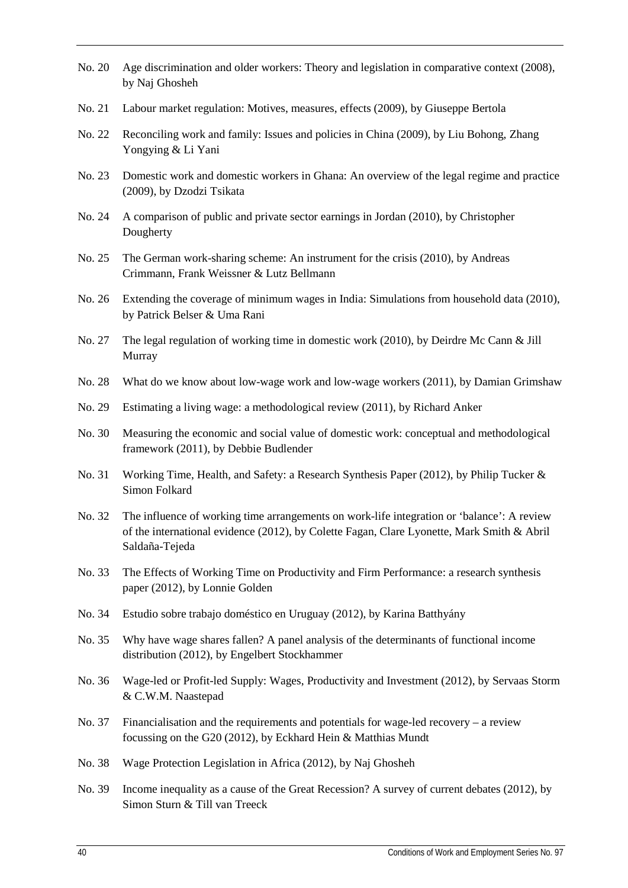- No. 20 Age discrimination and older workers: Theory and legislation in comparative context (2008), by Naj Ghosheh
- No. 21 Labour market regulation: Motives, measures, effects (2009), by Giuseppe Bertola
- No. 22 Reconciling work and family: Issues and policies in China (2009), by Liu Bohong, Zhang Yongying & Li Yani
- No. 23 Domestic work and domestic workers in Ghana: An overview of the legal regime and practice (2009), by Dzodzi Tsikata
- No. 24 A comparison of public and private sector earnings in Jordan (2010), by Christopher Dougherty
- No. 25 The German work-sharing scheme: An instrument for the crisis (2010), by Andreas Crimmann, Frank Weissner & Lutz Bellmann
- No. 26 Extending the coverage of minimum wages in India: Simulations from household data (2010), by Patrick Belser & Uma Rani
- No. 27 The legal regulation of working time in domestic work (2010), by Deirdre Mc Cann & Jill Murray
- No. 28 What do we know about low-wage work and low-wage workers (2011), by Damian Grimshaw
- No. 29 Estimating a living wage: a methodological review (2011), by Richard Anker
- No. 30 Measuring the economic and social value of domestic work: conceptual and methodological framework (2011), by Debbie Budlender
- No. 31 Working Time, Health, and Safety: a Research Synthesis Paper (2012), by Philip Tucker & Simon Folkard
- No. 32 The influence of working time arrangements on work-life integration or 'balance': A review of the international evidence (2012), by Colette Fagan, Clare Lyonette, Mark Smith & Abril Saldaña-Tejeda
- No. 33 The Effects of Working Time on Productivity and Firm Performance: a research synthesis paper (2012), by Lonnie Golden
- No. 34 Estudio sobre trabajo doméstico en Uruguay (2012), by Karina Batthyány
- No. 35 Why have wage shares fallen? A panel analysis of the determinants of functional income distribution (2012), by Engelbert Stockhammer
- No. 36 Wage-led or Profit-led Supply: Wages, Productivity and Investment (2012), by Servaas Storm & C.W.M. Naastepad
- No.  $37$  Financialisation and the requirements and potentials for wage-led recovery a review focussing on the G20 (2012), by Eckhard Hein & Matthias Mundt
- No. 38 Wage Protection Legislation in Africa (2012), by Naj Ghosheh
- No. 39 Income inequality as a cause of the Great Recession? A survey of current debates (2012), by Simon Sturn & Till van Treeck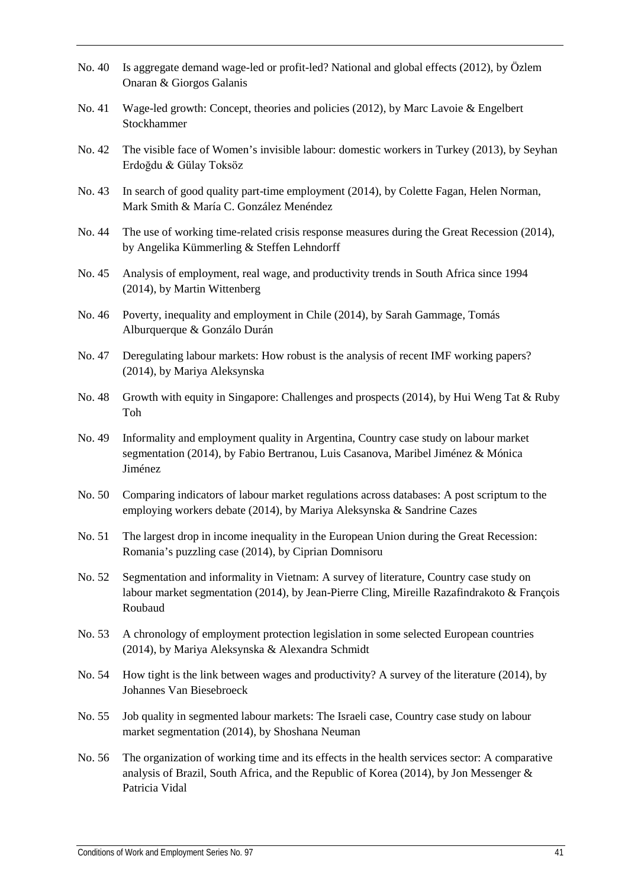- No. 40 Is aggregate demand wage-led or profit-led? National and global effects (2012), by Özlem Onaran & Giorgos Galanis
- No. 41 Wage-led growth: Concept, theories and policies (2012), by Marc Lavoie & Engelbert Stockhammer
- No. 42 The visible face of Women's invisible labour: domestic workers in Turkey (2013), by Seyhan Erdoğdu & Gülay Toksöz
- No. 43 In search of good quality part-time employment (2014), by Colette Fagan, Helen Norman, Mark Smith & María C. González Menéndez
- No. 44 The use of working time-related crisis response measures during the Great Recession (2014), by Angelika Kümmerling & Steffen Lehndorff
- No. 45 Analysis of employment, real wage, and productivity trends in South Africa since 1994 (2014), by Martin Wittenberg
- No. 46 Poverty, inequality and employment in Chile (2014), by Sarah Gammage, Tomás Alburquerque & Gonzálo Durán
- No. 47 Deregulating labour markets: How robust is the analysis of recent IMF working papers? (2014), by Mariya Aleksynska
- No. 48 Growth with equity in Singapore: Challenges and prospects (2014), by Hui Weng Tat & Ruby Toh
- No. 49 Informality and employment quality in Argentina, Country case study on labour market segmentation (2014), by Fabio Bertranou, Luis Casanova, Maribel Jiménez & Mónica Jiménez
- No. 50 Comparing indicators of labour market regulations across databases: A post scriptum to the employing workers debate (2014), by Mariya Aleksynska & Sandrine Cazes
- No. 51 The largest drop in income inequality in the European Union during the Great Recession: Romania's puzzling case (2014), by Ciprian Domnisoru
- No. 52 Segmentation and informality in Vietnam: A survey of literature, Country case study on labour market segmentation (2014), by Jean-Pierre Cling, Mireille Razafindrakoto & François Roubaud
- No. 53 A chronology of employment protection legislation in some selected European countries (2014), by Mariya Aleksynska & Alexandra Schmidt
- No. 54 How tight is the link between wages and productivity? A survey of the literature (2014), by Johannes Van Biesebroeck
- No. 55 Job quality in segmented labour markets: The Israeli case, Country case study on labour market segmentation (2014), by Shoshana Neuman
- No. 56 The organization of working time and its effects in the health services sector: A comparative analysis of Brazil, South Africa, and the Republic of Korea (2014), by Jon Messenger & Patricia Vidal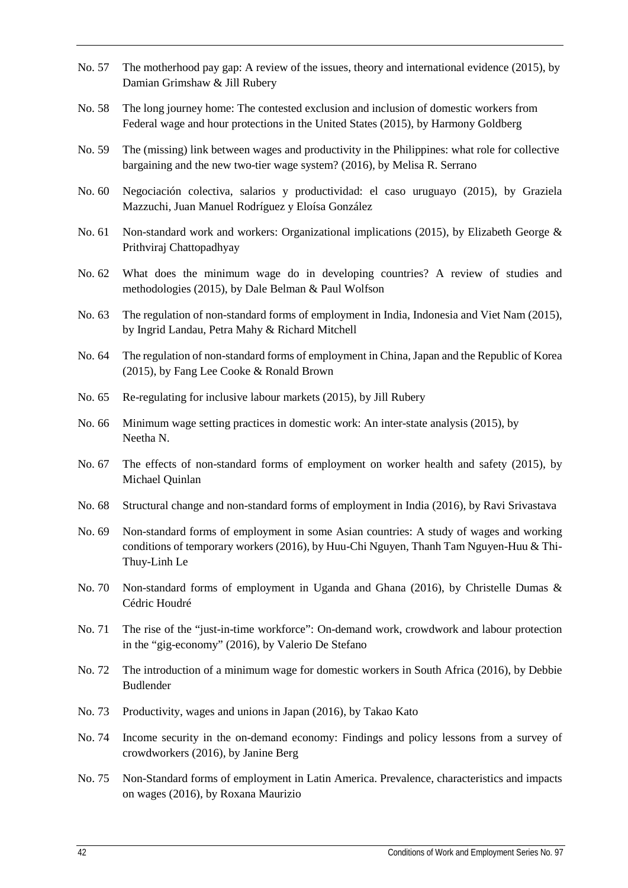- No. 57 The motherhood pay gap: A review of the issues, theory and international evidence (2015), by Damian Grimshaw & Jill Rubery
- No. 58 The long journey home: The contested exclusion and inclusion of domestic workers from Federal wage and hour protections in the United States (2015), by Harmony Goldberg
- No. 59 The (missing) link between wages and productivity in the Philippines: what role for collective bargaining and the new two-tier wage system? (2016), by Melisa R. Serrano
- No. 60 Negociación colectiva, salarios y productividad: el caso uruguayo (2015), by Graziela Mazzuchi, Juan Manuel Rodríguez y Eloísa González
- No. 61 Non-standard work and workers: Organizational implications (2015), by Elizabeth George & Prithviraj Chattopadhyay
- No. 62 What does the minimum wage do in developing countries? A review of studies and methodologies (2015), by Dale Belman & Paul Wolfson
- No. 63 The regulation of non-standard forms of employment in India, Indonesia and Viet Nam (2015), by Ingrid Landau, Petra Mahy & Richard Mitchell
- No. 64 The regulation of non-standard forms of employment in China, Japan and the Republic of Korea (2015), by Fang Lee Cooke & Ronald Brown
- No. 65 Re-regulating for inclusive labour markets (2015), by Jill Rubery
- No. 66 Minimum wage setting practices in domestic work: An inter-state analysis (2015), by Neetha N.
- No. 67 The effects of non-standard forms of employment on worker health and safety (2015), by Michael Quinlan
- No. 68 Structural change and non-standard forms of employment in India (2016), by Ravi Srivastava
- No. 69 Non-standard forms of employment in some Asian countries: A study of wages and working conditions of temporary workers (2016), by Huu-Chi Nguyen, Thanh Tam Nguyen-Huu & Thi-Thuy-Linh Le
- No. 70 Non-standard forms of employment in Uganda and Ghana (2016), by Christelle Dumas & Cédric Houdré
- No. 71 The rise of the "just-in-time workforce": On-demand work, crowdwork and labour protection in the "gig-economy" (2016), by Valerio De Stefano
- No. 72 The introduction of a minimum wage for domestic workers in South Africa (2016), by Debbie Budlender
- No. 73 Productivity, wages and unions in Japan (2016), by Takao Kato
- No. 74 Income security in the on-demand economy: Findings and policy lessons from a survey of crowdworkers (2016), by Janine Berg
- No. 75 Non-Standard forms of employment in Latin America. Prevalence, characteristics and impacts on wages (2016), by Roxana Maurizio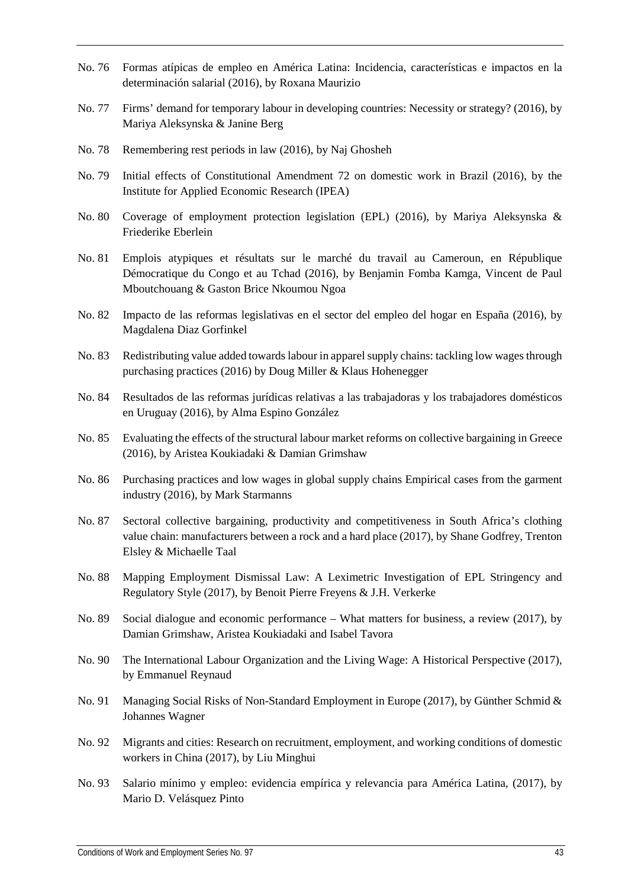- No. 76 Formas atípicas de empleo en América Latina: Incidencia, características e impactos en la determinación salarial (2016), by Roxana Maurizio
- No. 77 Firms' demand for temporary labour in developing countries: Necessity or strategy? (2016), by Mariya Aleksynska & Janine Berg
- No. 78 Remembering rest periods in law (2016), by Naj Ghosheh
- No. 79 Initial effects of Constitutional Amendment 72 on domestic work in Brazil (2016), by the Institute for Applied Economic Research (IPEA)
- No. 80 Coverage of employment protection legislation (EPL) (2016), by Mariya Aleksynska & Friederike Eberlein
- No. 81 Emplois atypiques et résultats sur le marché du travail au Cameroun, en République Démocratique du Congo et au Tchad (2016), by Benjamin Fomba Kamga, Vincent de Paul Mboutchouang & Gaston Brice Nkoumou Ngoa
- No. 82 Impacto de las reformas legislativas en el sector del empleo del hogar en España (2016), by Magdalena Diaz Gorfinkel
- No. 83 Redistributing value added towards labour in apparel supply chains: tackling low wages through purchasing practices (2016) by Doug Miller & Klaus Hohenegger
- No. 84 Resultados de las reformas jurídicas relativas a las trabajadoras y los trabajadores domésticos en Uruguay (2016), by Alma Espino González
- No. 85 Evaluating the effects of the structural labour market reforms on collective bargaining in Greece (2016), by Aristea Koukiadaki & Damian Grimshaw
- No. 86 Purchasing practices and low wages in global supply chains Empirical cases from the garment industry (2016), by Mark Starmanns
- No. 87 Sectoral collective bargaining, productivity and competitiveness in South Africa's clothing value chain: manufacturers between a rock and a hard place (2017), by Shane Godfrey, Trenton Elsley & Michaelle Taal
- No. 88 Mapping Employment Dismissal Law: A Leximetric Investigation of EPL Stringency and Regulatory Style (2017), by Benoit Pierre Freyens & J.H. Verkerke
- No. 89 Social dialogue and economic performance What matters for business, a review (2017), by Damian Grimshaw, Aristea Koukiadaki and Isabel Tavora
- No. 90 The International Labour Organization and the Living Wage: A Historical Perspective (2017), by Emmanuel Reynaud
- No. 91 Managing Social Risks of Non-Standard Employment in Europe (2017), by Günther Schmid & Johannes Wagner
- No. 92 Migrants and cities: Research on recruitment, employment, and working conditions of domestic workers in China (2017), by Liu Minghui
- No. 93 Salario mínimo y empleo: evidencia empírica y relevancia para América Latina, (2017), by Mario D. Velásquez Pinto